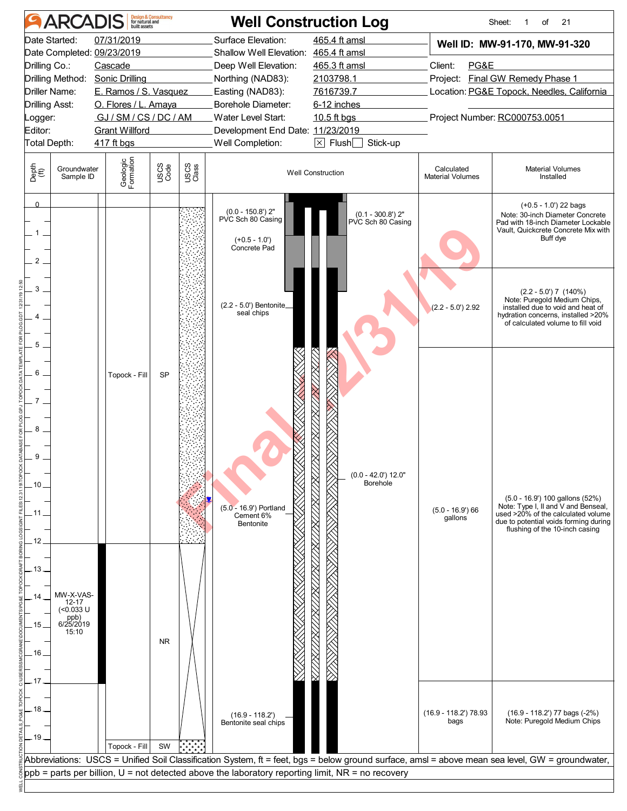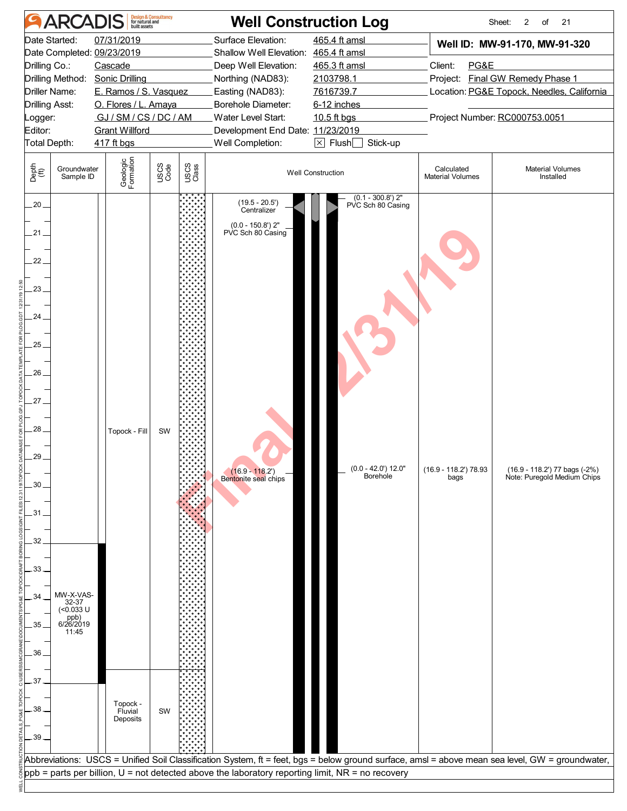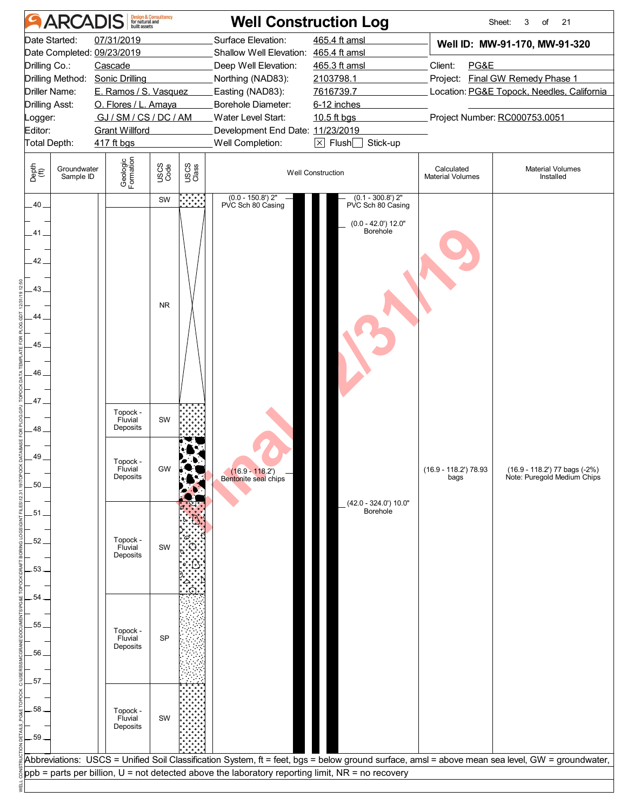| <b>ARCADIS</b>                                                                                                                                                           | Design & Consultancy<br>for natural and<br>built assets                                                                                                                     |                                                                          | <b>Well Construction Log</b>                                                                                                                                                                                                     |                                                                                                                                |                                       | Sheet:<br>3<br>of<br>21                                                                                                                          |
|--------------------------------------------------------------------------------------------------------------------------------------------------------------------------|-----------------------------------------------------------------------------------------------------------------------------------------------------------------------------|--------------------------------------------------------------------------|----------------------------------------------------------------------------------------------------------------------------------------------------------------------------------------------------------------------------------|--------------------------------------------------------------------------------------------------------------------------------|---------------------------------------|--------------------------------------------------------------------------------------------------------------------------------------------------|
| Date Started:<br>Date Completed: 09/23/2019<br>Drilling Co.:<br>Drilling Method: Sonic Drilling<br>Driller Name:<br>Drilling Asst:<br>_ogger:<br>Editor:<br>Total Depth: | 07/31/2019<br>Cascade<br>E. Ramos / S. Vasquez<br>O. Flores / L. Amaya<br>GJ/SM/CS/DC/AM<br><b>Grant Willford</b><br>417 ft bgs                                             |                                                                          | Surface Elevation:<br>Shallow Well Elevation: 465.4 ft amsl<br>Deep Well Elevation:<br>Northing (NAD83):<br>Easting (NAD83):<br>Borehole Diameter:<br>Water Level Start:<br>Development End Date: 11/23/2019<br>Well Completion: | 465.4 ft amsl<br>465.3 ft amsl<br>2103798.1<br>7616739.7<br>6-12 inches<br>10.5 ft bgs<br>$\boxtimes$ Flush $\Box$<br>Stick-up | Client:<br>PG&E                       | Well ID: MW-91-170, MW-91-320<br>Project: Final GW Remedy Phase 1<br>Location: PG&E Topock, Needles, California<br>Project Number: RC000753.0051 |
| Depth<br>(ft)<br>Groundwater<br>Sample ID                                                                                                                                | Geologic<br>Formation                                                                                                                                                       | USCS<br>Code<br>USCS<br>Class                                            |                                                                                                                                                                                                                                  | <b>Well Construction</b>                                                                                                       | Calculated<br><b>Material Volumes</b> | <b>Material Volumes</b><br>Installed                                                                                                             |
| $.40 -$<br>.41.<br>42 <sub>1</sub><br>43<br>.44<br>45<br>46<br>47<br>48<br>49<br>50<br>.51<br>52<br>53<br>54<br>55<br>56<br>57<br>58<br>59                               | Topock -<br>Fluvial<br>Deposits<br>Topock -<br>Fluvial<br>Deposits<br>Topock -<br>Fluvial<br>Deposits<br>Topock -<br>Fluvial<br>Deposits<br>Topock -<br>Fluvial<br>Deposits | <b>MAN</b><br>SW<br><b>NR</b><br>SW<br>GW<br>SW<br>.G<br><b>SP</b><br>SW | $(0.0 - 150.8)$ 2"<br>PVC Sch 80 Casing<br>$(16.9 - 118.2')$<br>Bentonite seal chips                                                                                                                                             | $(0.1 - 300.8')$ 2"<br>PVC Sch 80 Casing<br>$(0.0 - 42.0')$ 12.0"<br>Borehole<br>(42.0 - 324.0') 10.0"<br>Borehole             | $(16.9 - 118.2)$ 78.93<br>bags        | (16.9 - 118.2') 77 bags (-2%)<br>Note: Puregold Medium Chips                                                                                     |
|                                                                                                                                                                          |                                                                                                                                                                             |                                                                          | ppb = parts per billion, U = not detected above the laboratory reporting limit, NR = no recovery                                                                                                                                 |                                                                                                                                |                                       | Abbreviations: USCS = Unified Soil Classification System, ft = feet, bgs = below ground surface, amsl = above mean sea level, GW = groundwater,  |
|                                                                                                                                                                          |                                                                                                                                                                             |                                                                          |                                                                                                                                                                                                                                  |                                                                                                                                |                                       |                                                                                                                                                  |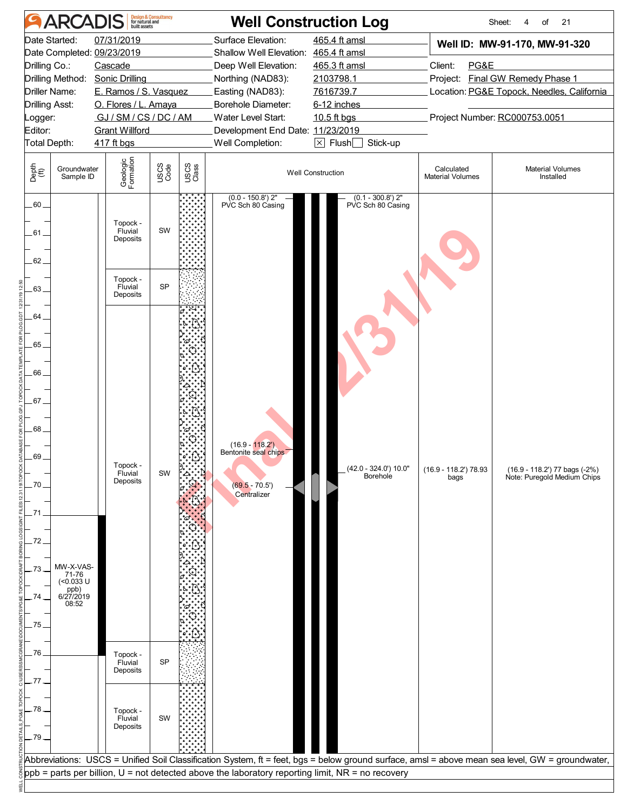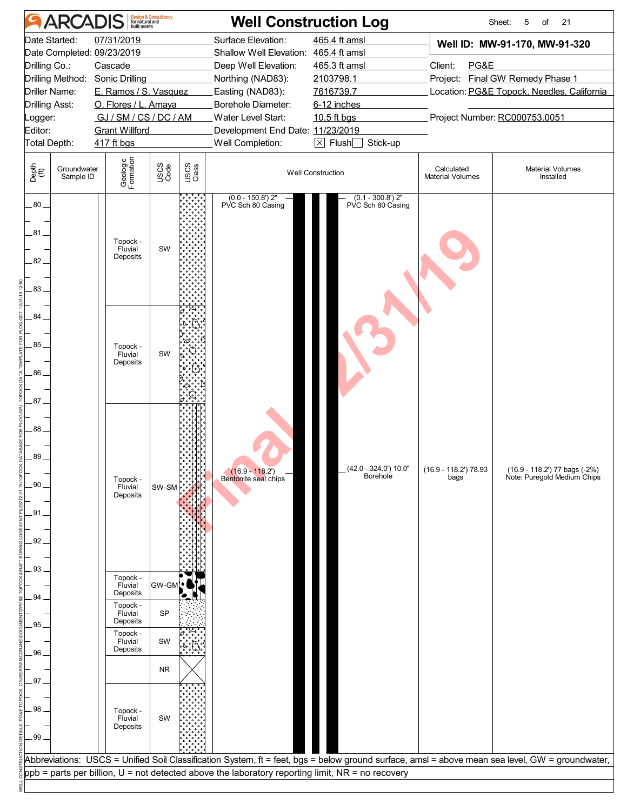| <b>ARCADIS</b>                                                                                                                                                                  | Design & Consultancy<br>for natural and<br>built assets                                                                         | <b>Well Construction Log</b>                                                                                                                                                                                                                                                                                               |                                                       | Sheet:                                                                                                                                                              | 21<br>5<br>of                                                |
|---------------------------------------------------------------------------------------------------------------------------------------------------------------------------------|---------------------------------------------------------------------------------------------------------------------------------|----------------------------------------------------------------------------------------------------------------------------------------------------------------------------------------------------------------------------------------------------------------------------------------------------------------------------|-------------------------------------------------------|---------------------------------------------------------------------------------------------------------------------------------------------------------------------|--------------------------------------------------------------|
| Date Started:<br>Date Completed: 09/23/2019<br>Drilling Co.:<br>Drilling Method: Sonic Drilling<br>Driller Name:<br><b>Drilling Asst:</b><br>.ogger:<br>Editor:<br>Total Depth: | 07/31/2019<br>Cascade<br>E. Ramos / S. Vasquez<br>O. Flores / L. Amaya<br>GJ/SM/CS/DC/AM<br><b>Grant Willford</b><br>417 ft bgs | Surface Elevation:<br>465.4 ft amsl<br>Shallow Well Elevation: 465.4 ft amsl<br>Deep Well Elevation:<br>465.3 ft amsl<br>Northing (NAD83):<br>2103798.1<br>Easting (NAD83):<br>7616739.7<br>Borehole Diameter:<br>6-12 inches<br>Water Level Start:<br>10.5 ft bgs<br>Development End Date: 11/23/2019<br>Well Completion: | $\boxed{\times}$ Flush $\boxed{\phantom{0}}$ Stick-up | Well ID: MW-91-170, MW-91-320<br>Client:<br>PG&E<br>Project: Final GW Remedy Phase 1<br>Location: PG&E Topock, Needles, California<br>Project Number: RC000753.0051 |                                                              |
| Depth<br>(ft)<br>Groundwater<br>Sample ID                                                                                                                                       | Geologic<br>Formation<br>USCS<br>Code<br>USCS<br>Class                                                                          | <b>Well Construction</b>                                                                                                                                                                                                                                                                                                   |                                                       | Calculated<br><b>Material Volumes</b>                                                                                                                               | <b>Material Volumes</b><br>Installed                         |
| $.80-$<br>81<br>82.<br>83                                                                                                                                                       | Topock -<br>SW<br>Fluvial<br>Deposits                                                                                           | $(0.0 - 150.8)$ 2"<br>PVC Sch 80 Casing                                                                                                                                                                                                                                                                                    | $(0.1 - 300.8')$ 2"<br>PVC Sch 80 Casing              |                                                                                                                                                                     |                                                              |
| $84 -$<br>85<br>.86<br>87                                                                                                                                                       | Topock -<br>SW<br>Fluvial<br>Deposits                                                                                           |                                                                                                                                                                                                                                                                                                                            |                                                       |                                                                                                                                                                     |                                                              |
| 88.<br>89<br>90<br>.91<br>92                                                                                                                                                    | Topock -<br>Fluvial<br>SW-SM<br>Deposits                                                                                        | $(16.9 - 118.2')$<br>Bentonite seal chips                                                                                                                                                                                                                                                                                  | (42.0 - 324.0') 10.0"<br>Borehole                     | $(16.9 - 118.2)$ 78.93<br>bags                                                                                                                                      | (16.9 - 118.2') 77 bags (-2%)<br>Note: Puregold Medium Chips |
| .93.<br>94<br>95                                                                                                                                                                | Topock -<br>GW-GM<br>Fluvial<br>Deposits<br>ъ.<br>Topock -<br><b>SP</b><br>Fluvial<br>Deposits<br>Topock -                      |                                                                                                                                                                                                                                                                                                                            |                                                       |                                                                                                                                                                     |                                                              |
| 96<br>97                                                                                                                                                                        | SW<br>Fluvial<br>Deposits<br><b>NR</b>                                                                                          |                                                                                                                                                                                                                                                                                                                            |                                                       |                                                                                                                                                                     |                                                              |
| 98<br>.99                                                                                                                                                                       | Topock -<br>Fluvial<br>SW<br>Deposits                                                                                           |                                                                                                                                                                                                                                                                                                                            |                                                       |                                                                                                                                                                     |                                                              |
|                                                                                                                                                                                 |                                                                                                                                 | Abbreviations: USCS = Unified Soil Classification System, ft = feet, bgs = below ground surface, amsl = above mean sea level, GW = groundwater,<br>ppb = parts per billion, U = not detected above the laboratory reporting limit, NR = no recovery                                                                        |                                                       |                                                                                                                                                                     |                                                              |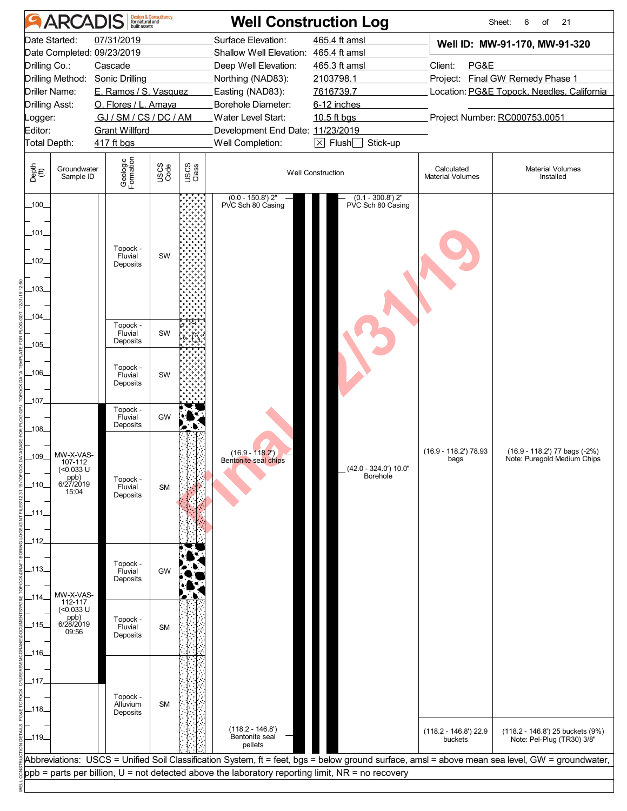|                                                                                                                                                        | <b>ARCADIS</b>                                                                                                                       |                                                                                                                                                                                                                                                   | <b>Design &amp; Consultancy</b><br>for natural and<br>built assets |               |                                                                                                    | <b>Well Construction Log</b>                                                  |                                       | Sheet:<br>21<br>6<br>of                                                                                                                         |
|--------------------------------------------------------------------------------------------------------------------------------------------------------|--------------------------------------------------------------------------------------------------------------------------------------|---------------------------------------------------------------------------------------------------------------------------------------------------------------------------------------------------------------------------------------------------|--------------------------------------------------------------------|---------------|----------------------------------------------------------------------------------------------------|-------------------------------------------------------------------------------|---------------------------------------|-------------------------------------------------------------------------------------------------------------------------------------------------|
|                                                                                                                                                        | Date Started:                                                                                                                        | 07/31/2019                                                                                                                                                                                                                                        |                                                                    |               | Surface Elevation:                                                                                 | 465.4 ft amsl                                                                 |                                       | Well ID: MW-91-170, MW-91-320                                                                                                                   |
|                                                                                                                                                        |                                                                                                                                      | Date Completed: 09/23/2019                                                                                                                                                                                                                        |                                                                    |               | Shallow Well Elevation: 465.4 ft amsl                                                              |                                                                               |                                       |                                                                                                                                                 |
| Drilling Co.:                                                                                                                                          |                                                                                                                                      | Cascade                                                                                                                                                                                                                                           |                                                                    |               | Deep Well Elevation:                                                                               | 465.3 ft amsl                                                                 | Client:<br>PG&E                       |                                                                                                                                                 |
|                                                                                                                                                        |                                                                                                                                      | Drilling Method: Sonic Drilling                                                                                                                                                                                                                   |                                                                    |               | Northing (NAD83):                                                                                  | 2103798.1                                                                     |                                       | Project: Final GW Remedy Phase 1                                                                                                                |
|                                                                                                                                                        | Driller Name:                                                                                                                        | E. Ramos / S. Vasquez                                                                                                                                                                                                                             |                                                                    |               | Easting (NAD83):                                                                                   | 7616739.7                                                                     |                                       | Location: PG&E Topock, Needles, California                                                                                                      |
| Drilling Asst:                                                                                                                                         |                                                                                                                                      | O. Flores / L. Amaya                                                                                                                                                                                                                              |                                                                    |               | Borehole Diameter:                                                                                 | 6-12 inches                                                                   |                                       |                                                                                                                                                 |
| ogger:                                                                                                                                                 |                                                                                                                                      | GJ / SM / CS / DC / AM                                                                                                                                                                                                                            |                                                                    |               | Water Level Start:                                                                                 | 10.5 ft bgs                                                                   |                                       | Project Number: RC000753.0051                                                                                                                   |
| Editor:                                                                                                                                                |                                                                                                                                      | <b>Grant Willford</b>                                                                                                                                                                                                                             |                                                                    |               | Development End Date: 11/23/2019                                                                   |                                                                               |                                       |                                                                                                                                                 |
| Total Depth:                                                                                                                                           |                                                                                                                                      | 417 ft bgs                                                                                                                                                                                                                                        |                                                                    |               | Well Completion:                                                                                   | $\boxtimes$ Flush $\Box$<br>Stick-up                                          |                                       |                                                                                                                                                 |
| Depth<br>(ft)                                                                                                                                          | Groundwater<br>Sample ID                                                                                                             | Geologic<br>Formation                                                                                                                                                                                                                             | USCS<br>Code                                                       | USCS<br>Class |                                                                                                    | <b>Well Construction</b>                                                      | Calculated<br><b>Material Volumes</b> | <b>Material Volumes</b><br>Installed                                                                                                            |
| $-100$<br>_101_<br>$-102$<br>103<br>$-104$<br>105<br>_106_<br>_107_<br>$-108$<br>109<br>_110_<br>_111_<br>$-112$<br>_113_<br>$-114$<br>_115_<br>$-116$ | MW-X-VAS-<br>107-112<br>(<0.033 U<br>ppb)<br>6/27/2019<br>15:04<br>MW-X-VAS-<br>112-117<br>$(<0.033$ U<br>ppb)<br>6/28/2019<br>09:56 | Topock -<br>Fluvial<br>Deposits<br>Topock -<br>Fluvial<br>Deposits<br>Topock -<br>Fluvial<br>Deposits<br>Topock -<br>Fluvial<br>Deposits<br>Topock -<br>Fluvial<br>Deposits<br>Topock -<br>Fluvial<br>Deposits<br>Topock -<br>Fluvial<br>Deposits | SW<br>SW<br>SW<br>GW<br><b>SM</b><br>GW<br><b>SM</b>               | o             | $(0.0 - 150.8)$ 2"<br>PVC Sch 80 Casing<br>$(16.9 - 118.2)$<br>Bentonite seal chips                | $(0.1 - 300.8')$ 2"<br>PVC Sch 80 Casing<br>(42.0 - 324.0') 10.0"<br>Borehole | $(16.9 - 118.2)$ 78.93<br>bags        | (16.9 - 118.2') 77 bags (-2%)<br>Note: Puregold Medium Chips                                                                                    |
| _117_<br>_118_<br>$-119$                                                                                                                               |                                                                                                                                      | Topock -<br>Alluvium<br>Deposits                                                                                                                                                                                                                  | <b>SM</b>                                                          |               | $(118.2 - 146.8)$<br>Bentonite seal<br>pellets                                                     |                                                                               | $(118.2 - 146.8)$ 22.9<br>buckets     | (118.2 - 146.8') 25 buckets (9%)<br>Note: Pel-Plug (TR30) 3/8"                                                                                  |
|                                                                                                                                                        |                                                                                                                                      |                                                                                                                                                                                                                                                   |                                                                    |               |                                                                                                    |                                                                               |                                       | Abbreviations: USCS = Unified Soil Classification System, ft = feet, bgs = below ground surface, amsl = above mean sea level, GW = groundwater, |
|                                                                                                                                                        |                                                                                                                                      |                                                                                                                                                                                                                                                   |                                                                    |               | $ppb$ = parts per billion, U = not detected above the laboratory reporting limit, NR = no recovery |                                                                               |                                       |                                                                                                                                                 |
|                                                                                                                                                        |                                                                                                                                      |                                                                                                                                                                                                                                                   |                                                                    |               |                                                                                                    |                                                                               |                                       |                                                                                                                                                 |
|                                                                                                                                                        |                                                                                                                                      |                                                                                                                                                                                                                                                   |                                                                    |               |                                                                                                    |                                                                               |                                       |                                                                                                                                                 |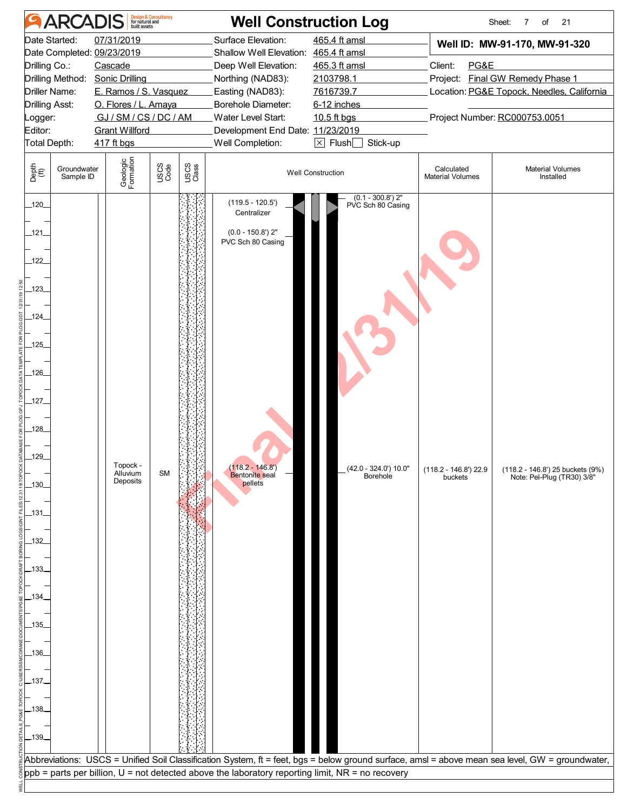|                                                                                                                                                                                                                    | <b>ARCADIS</b>                 |                                                                                                                                                                                                  | <b>Design &amp; Consultancy</b><br>for natural and |               |                                                                                                                                                                                                                                         | <b>Well Construction Log</b>                                                                                                                    |                                       | Sheet:<br>7<br>of<br>21                                                                                                                                                                                           |
|--------------------------------------------------------------------------------------------------------------------------------------------------------------------------------------------------------------------|--------------------------------|--------------------------------------------------------------------------------------------------------------------------------------------------------------------------------------------------|----------------------------------------------------|---------------|-----------------------------------------------------------------------------------------------------------------------------------------------------------------------------------------------------------------------------------------|-------------------------------------------------------------------------------------------------------------------------------------------------|---------------------------------------|-------------------------------------------------------------------------------------------------------------------------------------------------------------------------------------------------------------------|
| Drilling Co.:<br><b>Drilling Asst:</b><br>_ogger:<br>Editor:<br>Total Depth:                                                                                                                                       | Date Started:<br>Driller Name: | 07/31/2019<br>Date Completed: 09/23/2019<br>Cascade<br>Drilling Method: Sonic Drilling<br>E. Ramos / S. Vasquez<br>O. Flores / L. Amaya<br>GJ/SM/CS/DC/AM<br><b>Grant Willford</b><br>417 ft bgs |                                                    |               | Surface Elevation:<br>Shallow Well Elevation: 465.4 ft amsl<br>Deep Well Elevation:<br>Northing (NAD83):<br>Easting (NAD83):<br>Borehole Diameter:<br><b>Water Level Start:</b><br>Development End Date: 11/23/2019<br>Well Completion: | 465.4 ft amsl<br>465.3 ft amsl<br>2103798.1<br>7616739.7<br>6-12 inches<br>10.5 ft bgs<br>$\boxed{\times}$ Flush $\boxed{\phantom{0}}$ Stick-up | Client:<br>PG&E                       | Well ID: MW-91-170, MW-91-320<br>Project: Final GW Remedy Phase 1<br>Location: PG&E Topock, Needles, California<br>Project Number: RC000753.0051                                                                  |
| Depth<br>(ft)                                                                                                                                                                                                      | Groundwater<br>Sample ID       | Geologic<br>Formation                                                                                                                                                                            | USCS<br>Code                                       | USCS<br>Class |                                                                                                                                                                                                                                         | <b>Well Construction</b>                                                                                                                        | Calculated<br><b>Material Volumes</b> | <b>Material Volumes</b><br>Installed                                                                                                                                                                              |
| $-120$<br>$-121$<br>122<br>$123$ <sub>-</sub><br>$-124$<br>$.125$ <sub>-</sub><br>$-126$<br>$-127-$<br>$-128$<br>129<br>-130-<br>$-131$<br>$-132$<br>.133.<br>.134.<br>_135_<br>.136.<br>_137_<br>$-138$<br>$-139$ |                                | Topock -<br>Alluvium<br>Deposits                                                                                                                                                                 | <b>SM</b>                                          |               | $(119.5 - 120.5)$<br>Centralizer<br>$(0.0 - 150.8)$ 2"<br>PVC Sch 80 Casing<br>$(118.2 - 146.8')$<br>Bentonite seal<br>pellets                                                                                                          | $(0.1 - 300.8')$ 2"<br>PVC Sch 80 Casing<br>$(42.0 - 324.0) 10.0"$<br>Borehole                                                                  | (118.2 - 146.8') 22.9<br>buckets      | (118.2 - 146.8') 25 buckets (9%)<br>Note: Pel-Plug (TR30) 3/8"<br>Abbreviations: USCS = Unified Soil Classification System, ft = feet, bgs = below ground surface, amsl = above mean sea level, GW = groundwater, |
|                                                                                                                                                                                                                    |                                |                                                                                                                                                                                                  |                                                    |               | $ppb =$ parts per billion, $U =$ not detected above the laboratory reporting limit, NR = no recovery                                                                                                                                    |                                                                                                                                                 |                                       |                                                                                                                                                                                                                   |
|                                                                                                                                                                                                                    |                                |                                                                                                                                                                                                  |                                                    |               |                                                                                                                                                                                                                                         |                                                                                                                                                 |                                       |                                                                                                                                                                                                                   |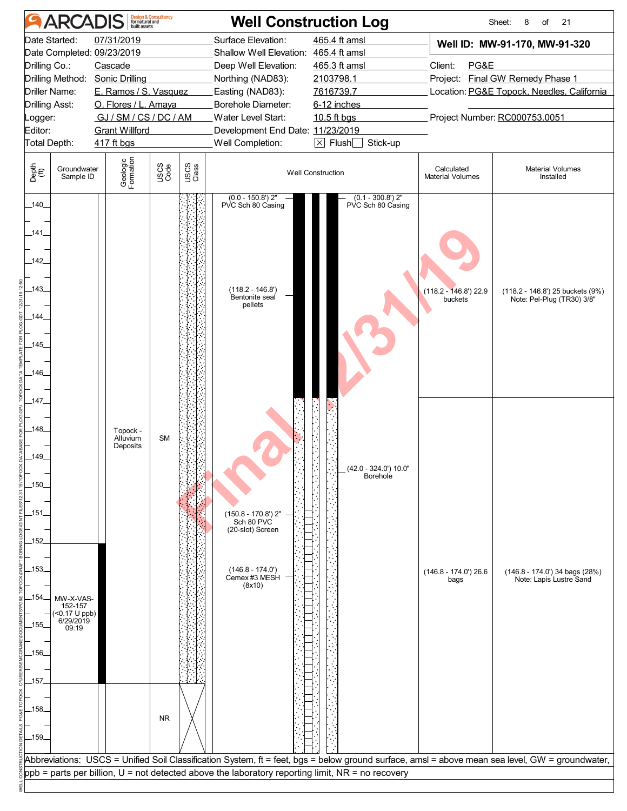|                | <b>ARCADIS</b>                        |                                 | <b>Design &amp; Consultancy</b><br>for natural and<br>built assets |               | <b>Well Construction Log</b>                                                                         |                                          |                                       | Sheet:<br>8<br>21<br>of                                                                                                                         |
|----------------|---------------------------------------|---------------------------------|--------------------------------------------------------------------|---------------|------------------------------------------------------------------------------------------------------|------------------------------------------|---------------------------------------|-------------------------------------------------------------------------------------------------------------------------------------------------|
| Date Started:  |                                       | 07/31/2019                      |                                                                    |               | Surface Elevation:                                                                                   | 465.4 ft amsl                            |                                       | Well ID: MW-91-170, MW-91-320                                                                                                                   |
|                |                                       | Date Completed: 09/23/2019      |                                                                    |               | Shallow Well Elevation: 465.4 ft amsl                                                                |                                          |                                       |                                                                                                                                                 |
| Drilling Co.:  |                                       | Cascade                         |                                                                    |               | Deep Well Elevation:                                                                                 | 465.3 ft amsl                            | Client:<br>PG&E                       |                                                                                                                                                 |
|                |                                       | Drilling Method: Sonic Drilling |                                                                    |               | Northing (NAD83):                                                                                    | 2103798.1                                |                                       | Project: Final GW Remedy Phase 1                                                                                                                |
| Driller Name:  |                                       | E. Ramos / S. Vasquez           |                                                                    |               | Easting (NAD83):                                                                                     | 7616739.7                                |                                       | Location: PG&E Topock, Needles, California                                                                                                      |
| Drilling Asst: |                                       | O. Flores / L. Amaya            |                                                                    |               | Borehole Diameter:                                                                                   | 6-12 inches                              |                                       |                                                                                                                                                 |
| .ogger:        |                                       | GJ / SM / CS / DC / AM          |                                                                    |               | Water Level Start:                                                                                   | 10.5 ft bgs                              |                                       | Project Number: RC000753.0051                                                                                                                   |
| Editor:        |                                       | <b>Grant Willford</b>           |                                                                    |               | Development End Date: 11/23/2019                                                                     | $\times$ Flush $\Box$<br>Stick-up        |                                       |                                                                                                                                                 |
| Total Depth:   |                                       | 417 ft bgs                      |                                                                    |               | Well Completion:                                                                                     |                                          |                                       |                                                                                                                                                 |
| Depth<br>(ft)  | Groundwater<br>Sample ID              | Geologic<br>Formation           | USCS<br>Code                                                       | USCS<br>Class |                                                                                                      | <b>Well Construction</b>                 | Calculated<br><b>Material Volumes</b> | <b>Material Volumes</b><br>Installed                                                                                                            |
| $-140$         |                                       |                                 |                                                                    |               | $(0.0 - 150.8)$ 2"<br>PVC Sch 80 Casing                                                              | $(0.1 - 300.8')$ 2"<br>PVC Sch 80 Casing |                                       |                                                                                                                                                 |
| .141           |                                       |                                 |                                                                    |               |                                                                                                      |                                          |                                       |                                                                                                                                                 |
| 142<br>143     |                                       |                                 |                                                                    |               | $(118.2 - 146.8)$                                                                                    |                                          | (118.2 - 146.8') 22.9                 | (118.2 - 146.8') 25 buckets (9%)                                                                                                                |
| $-144$         |                                       |                                 |                                                                    |               | Bentonite seal<br>pellets                                                                            |                                          | buckets                               | Note: Pel-Plug (TR30) 3/8"                                                                                                                      |
| $-145$         |                                       |                                 |                                                                    |               |                                                                                                      |                                          |                                       |                                                                                                                                                 |
| $-146$         |                                       |                                 |                                                                    |               |                                                                                                      |                                          |                                       |                                                                                                                                                 |
|                |                                       |                                 |                                                                    |               |                                                                                                      |                                          |                                       |                                                                                                                                                 |
| 147_           |                                       |                                 |                                                                    |               |                                                                                                      |                                          |                                       |                                                                                                                                                 |
|                |                                       |                                 |                                                                    |               |                                                                                                      |                                          |                                       |                                                                                                                                                 |
| .148.          |                                       | Topock -                        |                                                                    |               |                                                                                                      |                                          |                                       |                                                                                                                                                 |
|                |                                       | Alluvium<br>Deposits            | <b>SM</b>                                                          |               |                                                                                                      |                                          |                                       |                                                                                                                                                 |
| _149_          |                                       |                                 |                                                                    |               |                                                                                                      |                                          |                                       |                                                                                                                                                 |
|                |                                       |                                 |                                                                    |               |                                                                                                      | (42.0 - 324.0') 10.0"<br>Borehole        |                                       |                                                                                                                                                 |
| -150-          |                                       |                                 |                                                                    |               |                                                                                                      |                                          |                                       |                                                                                                                                                 |
|                |                                       |                                 |                                                                    |               |                                                                                                      |                                          |                                       |                                                                                                                                                 |
| $-151$         |                                       |                                 |                                                                    |               | (150.8 - 170.8') 2"<br>Sch 80 PVC                                                                    |                                          |                                       |                                                                                                                                                 |
|                |                                       |                                 |                                                                    |               | (20-slot) Screen                                                                                     |                                          |                                       |                                                                                                                                                 |
| $-152$         |                                       |                                 |                                                                    |               |                                                                                                      |                                          |                                       |                                                                                                                                                 |
|                |                                       |                                 |                                                                    |               |                                                                                                      |                                          |                                       |                                                                                                                                                 |
| -153-          |                                       |                                 |                                                                    |               | $(146.8 - 174.0')$                                                                                   |                                          | $(146.8 - 174.0)$ 26.6                | (146.8 - 174.0') 34 bags (28%)                                                                                                                  |
|                |                                       |                                 |                                                                    |               | Cemex #3 MESH<br>(8x10)                                                                              |                                          | bags                                  | Note: Lapis Lustre Sand                                                                                                                         |
| -154.          | MW-X-VAS-                             |                                 |                                                                    |               |                                                                                                      |                                          |                                       |                                                                                                                                                 |
|                | 152-157<br>(<0.17 U ppb)<br>6/29/2019 |                                 |                                                                    |               |                                                                                                      |                                          |                                       |                                                                                                                                                 |
| $-155$         | 09:19                                 |                                 |                                                                    |               |                                                                                                      |                                          |                                       |                                                                                                                                                 |
|                |                                       |                                 |                                                                    |               |                                                                                                      |                                          |                                       |                                                                                                                                                 |
| $-156$         |                                       |                                 |                                                                    |               |                                                                                                      |                                          |                                       |                                                                                                                                                 |
| _157_          |                                       |                                 |                                                                    |               |                                                                                                      |                                          |                                       |                                                                                                                                                 |
|                |                                       |                                 |                                                                    |               |                                                                                                      |                                          |                                       |                                                                                                                                                 |
| .158.          |                                       |                                 |                                                                    |               |                                                                                                      |                                          |                                       |                                                                                                                                                 |
|                |                                       |                                 | <b>NR</b>                                                          |               |                                                                                                      |                                          |                                       |                                                                                                                                                 |
| $-159$         |                                       |                                 |                                                                    |               |                                                                                                      |                                          |                                       |                                                                                                                                                 |
|                |                                       |                                 |                                                                    |               |                                                                                                      |                                          |                                       |                                                                                                                                                 |
|                |                                       |                                 |                                                                    |               |                                                                                                      |                                          |                                       | Abbreviations: USCS = Unified Soil Classification System, ft = feet, bgs = below ground surface, amsl = above mean sea level, GW = groundwater, |
|                |                                       |                                 |                                                                    |               | $ppb =$ parts per billion, $U =$ not detected above the laboratory reporting limit, NR = no recovery |                                          |                                       |                                                                                                                                                 |
|                |                                       |                                 |                                                                    |               |                                                                                                      |                                          |                                       |                                                                                                                                                 |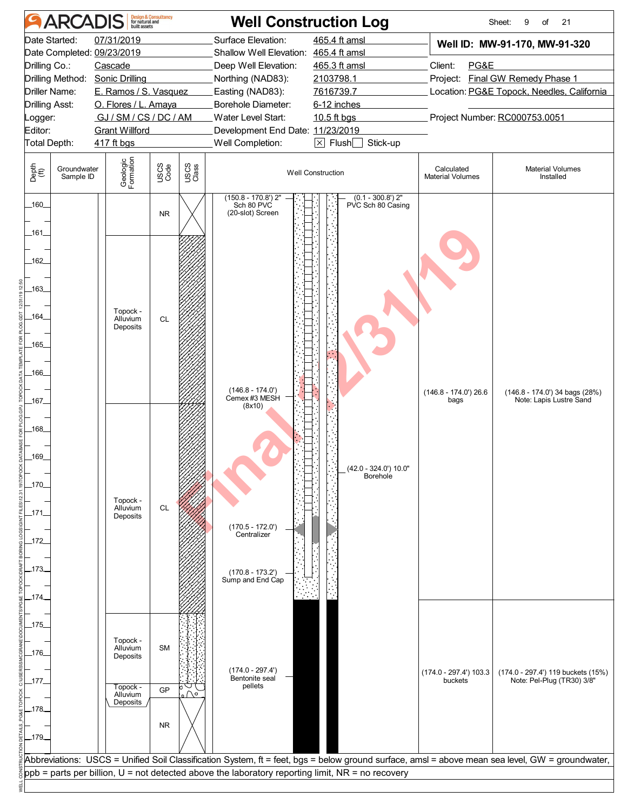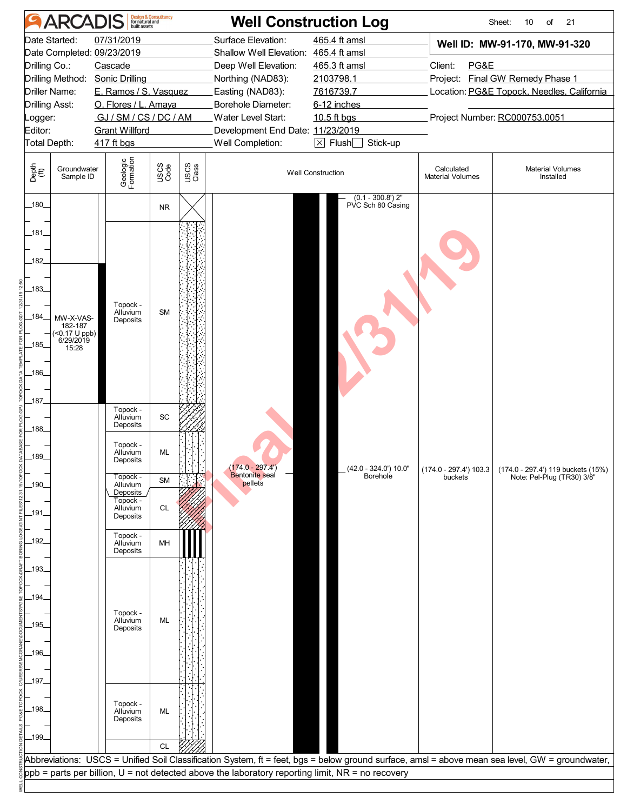|                       | <b>ARCADIS</b>                |                                 | <b>Design &amp; Consultancy</b><br>for natural and<br>built assets |               | <b>Well Construction Log</b>                                                                         |                                                       |                                       | Sheet:<br>21<br>10<br>of                                                                                                                        |
|-----------------------|-------------------------------|---------------------------------|--------------------------------------------------------------------|---------------|------------------------------------------------------------------------------------------------------|-------------------------------------------------------|---------------------------------------|-------------------------------------------------------------------------------------------------------------------------------------------------|
|                       | Date Started:                 | 07/31/2019                      |                                                                    |               | Surface Elevation:                                                                                   | 465.4 ft amsl                                         |                                       | Well ID: MW-91-170, MW-91-320                                                                                                                   |
|                       |                               | Date Completed: 09/23/2019      |                                                                    |               | Shallow Well Elevation: 465.4 ft amsl                                                                |                                                       |                                       |                                                                                                                                                 |
| Drilling Co.:         |                               | Cascade                         |                                                                    |               | Deep Well Elevation:                                                                                 | 465.3 ft amsl                                         | Client:<br>PG&E                       |                                                                                                                                                 |
|                       |                               | Drilling Method: Sonic Drilling |                                                                    |               | Northing (NAD83):                                                                                    | 2103798.1                                             |                                       | Project: Final GW Remedy Phase 1                                                                                                                |
|                       | Driller Name:                 | E. Ramos / S. Vasquez           |                                                                    |               | Easting (NAD83):                                                                                     | 7616739.7                                             |                                       | Location: PG&E Topock, Needles, California                                                                                                      |
| <b>Drilling Asst:</b> |                               | O. Flores / L. Amaya            |                                                                    |               | Borehole Diameter:                                                                                   | 6-12 inches                                           |                                       |                                                                                                                                                 |
| _ogger:               |                               | GJ / SM / CS / DC / AM          |                                                                    |               | Water Level Start:                                                                                   | 10.5 ft bgs                                           |                                       | Project Number: RC000753.0051                                                                                                                   |
| Editor:               |                               | <b>Grant Willford</b>           |                                                                    |               | Development End Date: 11/23/2019                                                                     |                                                       |                                       |                                                                                                                                                 |
| Total Depth:          |                               | 417 ft bgs                      |                                                                    |               | Well Completion:                                                                                     | $\boxed{\times}$ Flush $\boxed{\phantom{0}}$ Stick-up |                                       |                                                                                                                                                 |
| Depth<br>(ft)         | Groundwater<br>Sample ID      | Geologic<br>Formation           | USCS<br>Code                                                       | USCS<br>Class |                                                                                                      | <b>Well Construction</b>                              | Calculated<br><b>Material Volumes</b> | <b>Material Volumes</b><br>Installed                                                                                                            |
| $-180$                |                               |                                 | <b>NR</b>                                                          |               |                                                                                                      | $(0.1 - 300.8')$ 2"<br>PVC Sch 80 Casing              |                                       |                                                                                                                                                 |
|                       |                               |                                 |                                                                    |               |                                                                                                      |                                                       |                                       |                                                                                                                                                 |
| 181                   |                               |                                 |                                                                    |               |                                                                                                      |                                                       |                                       |                                                                                                                                                 |
|                       |                               |                                 |                                                                    |               |                                                                                                      |                                                       |                                       |                                                                                                                                                 |
| 182                   |                               |                                 |                                                                    |               |                                                                                                      |                                                       |                                       |                                                                                                                                                 |
|                       |                               |                                 |                                                                    |               |                                                                                                      |                                                       |                                       |                                                                                                                                                 |
| 183                   |                               |                                 |                                                                    |               |                                                                                                      |                                                       |                                       |                                                                                                                                                 |
|                       |                               | Topock -<br>Alluvium            | <b>SM</b>                                                          |               |                                                                                                      |                                                       |                                       |                                                                                                                                                 |
| 184                   | MW-X-VAS-<br>182-187          | Deposits                        |                                                                    |               |                                                                                                      |                                                       |                                       |                                                                                                                                                 |
|                       | $($ <0.17 U ppb)<br>6/29/2019 |                                 |                                                                    |               |                                                                                                      |                                                       |                                       |                                                                                                                                                 |
| .185.                 | 15:28                         |                                 |                                                                    |               |                                                                                                      |                                                       |                                       |                                                                                                                                                 |
|                       |                               |                                 |                                                                    |               |                                                                                                      |                                                       |                                       |                                                                                                                                                 |
| 186                   |                               |                                 |                                                                    |               |                                                                                                      |                                                       |                                       |                                                                                                                                                 |
|                       |                               |                                 |                                                                    |               |                                                                                                      |                                                       |                                       |                                                                                                                                                 |
| 187                   |                               | Topock -                        |                                                                    |               |                                                                                                      |                                                       |                                       |                                                                                                                                                 |
|                       |                               | Alluvium<br>Deposits            | SC                                                                 |               |                                                                                                      |                                                       |                                       |                                                                                                                                                 |
| 188                   |                               |                                 |                                                                    |               |                                                                                                      |                                                       |                                       |                                                                                                                                                 |
|                       |                               | Topock -<br>Alluvium            | <b>ML</b>                                                          |               |                                                                                                      |                                                       |                                       |                                                                                                                                                 |
| 189                   |                               | Deposits                        |                                                                    |               | $(174.0 - 297.4)$                                                                                    |                                                       |                                       |                                                                                                                                                 |
|                       |                               | Topock -                        | <b>SM</b>                                                          |               | <b>Bentonite</b> seal                                                                                | (42.0 - 324.0') 10.0"<br>Borehole                     | buckets                               | $(174.0 - 297.4')$ 103.3 $(174.0 - 297.4')$ 119 buckets (15%)<br>Note: Pel-Plug (TR30) 3/8"                                                     |
| $-190-$               |                               | Alluvium<br>Deposits            |                                                                    |               | pellets                                                                                              |                                                       |                                       |                                                                                                                                                 |
|                       |                               | Topock -<br>Alluvium            | CL                                                                 |               |                                                                                                      |                                                       |                                       |                                                                                                                                                 |
| _191.                 |                               | Deposits                        |                                                                    |               |                                                                                                      |                                                       |                                       |                                                                                                                                                 |
|                       |                               | Topock -                        |                                                                    |               |                                                                                                      |                                                       |                                       |                                                                                                                                                 |
| 192                   |                               | Alluvium                        | MH                                                                 |               |                                                                                                      |                                                       |                                       |                                                                                                                                                 |
|                       |                               | Deposits                        |                                                                    |               |                                                                                                      |                                                       |                                       |                                                                                                                                                 |
| .193.                 |                               |                                 |                                                                    |               |                                                                                                      |                                                       |                                       |                                                                                                                                                 |
|                       |                               |                                 |                                                                    |               |                                                                                                      |                                                       |                                       |                                                                                                                                                 |
| .194                  |                               |                                 |                                                                    |               |                                                                                                      |                                                       |                                       |                                                                                                                                                 |
|                       |                               | Topock -<br>Alluvium            | ML                                                                 |               |                                                                                                      |                                                       |                                       |                                                                                                                                                 |
| 195.                  |                               | Deposits                        |                                                                    |               |                                                                                                      |                                                       |                                       |                                                                                                                                                 |
|                       |                               |                                 |                                                                    |               |                                                                                                      |                                                       |                                       |                                                                                                                                                 |
| 196                   |                               |                                 |                                                                    |               |                                                                                                      |                                                       |                                       |                                                                                                                                                 |
|                       |                               |                                 |                                                                    |               |                                                                                                      |                                                       |                                       |                                                                                                                                                 |
| $-197$                |                               |                                 |                                                                    |               |                                                                                                      |                                                       |                                       |                                                                                                                                                 |
|                       |                               |                                 |                                                                    |               |                                                                                                      |                                                       |                                       |                                                                                                                                                 |
| .198.                 |                               | Topock -<br>Alluvium            | ML                                                                 |               |                                                                                                      |                                                       |                                       |                                                                                                                                                 |
|                       |                               | Deposits                        |                                                                    |               |                                                                                                      |                                                       |                                       |                                                                                                                                                 |
| $-199-$               |                               |                                 |                                                                    |               |                                                                                                      |                                                       |                                       |                                                                                                                                                 |
|                       |                               |                                 | <b>CL</b>                                                          |               |                                                                                                      |                                                       |                                       |                                                                                                                                                 |
|                       |                               |                                 |                                                                    |               |                                                                                                      |                                                       |                                       | Abbreviations: USCS = Unified Soil Classification System, ft = feet, bgs = below ground surface, amsl = above mean sea level, GW = groundwater, |
|                       |                               |                                 |                                                                    |               | $ppb =$ parts per billion, $U =$ not detected above the laboratory reporting limit, NR = no recovery |                                                       |                                       |                                                                                                                                                 |
|                       |                               |                                 |                                                                    |               |                                                                                                      |                                                       |                                       |                                                                                                                                                 |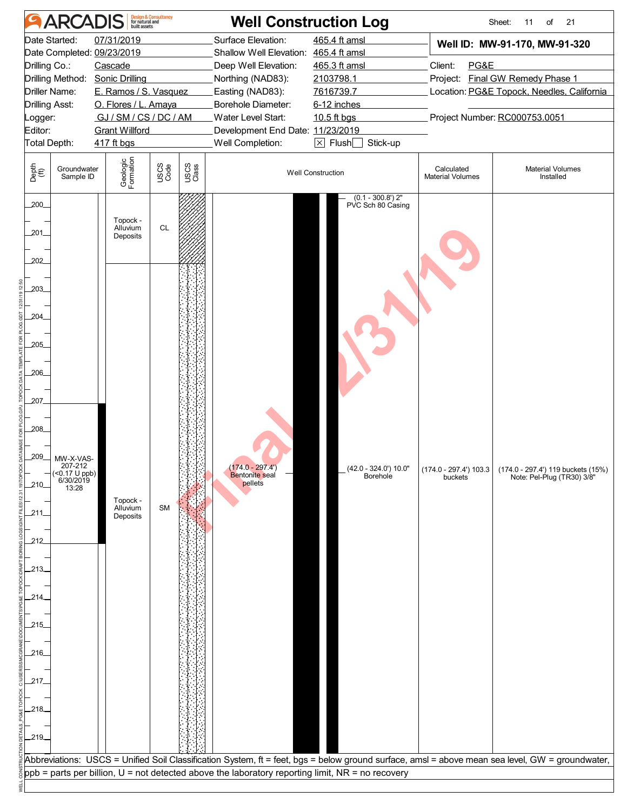| 07/31/2019<br>465.4 ft amsl<br>Date Started:<br>Surface Elevation:<br>Well ID: MW-91-170, MW-91-320<br>Date Completed: 09/23/2019<br>Shallow Well Elevation: 465.4 ft amsl<br>Drilling Co.:<br>465.3 ft amsl<br>Client:<br>PG&E<br>Cascade<br>Deep Well Elevation:<br>Project: Final GW Remedy Phase 1<br>Drilling Method: Sonic Drilling<br>Northing (NAD83):<br>2103798.1<br>Driller Name:<br>E. Ramos / S. Vasquez<br>Easting (NAD83):<br>7616739.7<br>Location: PG&E Topock, Needles, California<br>O. Flores / L. Amaya<br>Borehole Diameter:<br>6-12 inches<br><b>Drilling Asst:</b><br>Project Number: RC000753.0051<br>GJ/SM/CS/DC/AM<br>Water Level Start:<br>10.5 ft bgs<br><b>Grant Willford</b><br>Development End Date: 11/23/2019<br>$\boxed{\times}$ Flush $\boxed{\phantom{0}}$ Stick-up<br>Total Depth:<br>Well Completion:<br>417 ft bgs<br>Geologic<br>Formation<br>USCS<br>Code<br>USCS<br>Class<br>Depth<br>(ft)<br>Groundwater<br>Calculated<br><b>Material Volumes</b><br><b>Well Construction</b><br>Sample ID<br><b>Material Volumes</b><br>Installed<br>$(0.1 - 300.8')$ 2"<br>$200$ <sub>-</sub><br>PVC Sch 80 Casing<br>Topock -<br>Alluvium<br><b>CL</b><br>201_<br>Deposits<br>202<br>203_<br>204<br>205<br>.206<br>207<br>208<br>209<br>MW-X-VAS-<br>207-212<br>$(174.0 - 297.4)$<br>(42.0 - 324.0') 10.0"<br>(174.0 - 297.4') 103.3 (174.0 - 297.4') 119 buckets (15%)<br>$($ < 0.17 U ppb)<br>6/30/2019<br>13:28<br>Bentonite seal<br>Borehole<br>buckets<br>Note: Pel-Plug (TR30) 3/8"<br>pellets<br>.210.<br>Topock -<br>Alluvium<br><b>SM</b><br>211.<br>Deposits<br>212<br>.213.<br>.214.<br>.215.<br>.216_<br>.217<br>.218.<br>$-219$<br>Abbreviations: USCS = Unified Soil Classification System, ft = feet, bgs = below ground surface, amsl = above mean sea level, GW = groundwater,<br>$ppb =$ parts per billion, $U =$ not detected above the laboratory reporting limit, NR = no recovery |                    | <b>ARCADIS</b> | <b>Design &amp; Consultancy</b><br>for natural and<br>built assets |  | <b>Well Construction Log</b> | Sheet:<br>21<br>11<br>of |
|----------------------------------------------------------------------------------------------------------------------------------------------------------------------------------------------------------------------------------------------------------------------------------------------------------------------------------------------------------------------------------------------------------------------------------------------------------------------------------------------------------------------------------------------------------------------------------------------------------------------------------------------------------------------------------------------------------------------------------------------------------------------------------------------------------------------------------------------------------------------------------------------------------------------------------------------------------------------------------------------------------------------------------------------------------------------------------------------------------------------------------------------------------------------------------------------------------------------------------------------------------------------------------------------------------------------------------------------------------------------------------------------------------------------------------------------------------------------------------------------------------------------------------------------------------------------------------------------------------------------------------------------------------------------------------------------------------------------------------------------------------------------------------------------------------------------------------------------------------------------------------------------------------------------------------------|--------------------|----------------|--------------------------------------------------------------------|--|------------------------------|--------------------------|
|                                                                                                                                                                                                                                                                                                                                                                                                                                                                                                                                                                                                                                                                                                                                                                                                                                                                                                                                                                                                                                                                                                                                                                                                                                                                                                                                                                                                                                                                                                                                                                                                                                                                                                                                                                                                                                                                                                                                        | _ogger:<br>Editor: |                |                                                                    |  |                              |                          |
|                                                                                                                                                                                                                                                                                                                                                                                                                                                                                                                                                                                                                                                                                                                                                                                                                                                                                                                                                                                                                                                                                                                                                                                                                                                                                                                                                                                                                                                                                                                                                                                                                                                                                                                                                                                                                                                                                                                                        |                    |                |                                                                    |  |                              |                          |
|                                                                                                                                                                                                                                                                                                                                                                                                                                                                                                                                                                                                                                                                                                                                                                                                                                                                                                                                                                                                                                                                                                                                                                                                                                                                                                                                                                                                                                                                                                                                                                                                                                                                                                                                                                                                                                                                                                                                        |                    |                |                                                                    |  |                              |                          |
|                                                                                                                                                                                                                                                                                                                                                                                                                                                                                                                                                                                                                                                                                                                                                                                                                                                                                                                                                                                                                                                                                                                                                                                                                                                                                                                                                                                                                                                                                                                                                                                                                                                                                                                                                                                                                                                                                                                                        |                    |                |                                                                    |  |                              |                          |
|                                                                                                                                                                                                                                                                                                                                                                                                                                                                                                                                                                                                                                                                                                                                                                                                                                                                                                                                                                                                                                                                                                                                                                                                                                                                                                                                                                                                                                                                                                                                                                                                                                                                                                                                                                                                                                                                                                                                        |                    |                |                                                                    |  |                              |                          |
|                                                                                                                                                                                                                                                                                                                                                                                                                                                                                                                                                                                                                                                                                                                                                                                                                                                                                                                                                                                                                                                                                                                                                                                                                                                                                                                                                                                                                                                                                                                                                                                                                                                                                                                                                                                                                                                                                                                                        |                    |                |                                                                    |  |                              |                          |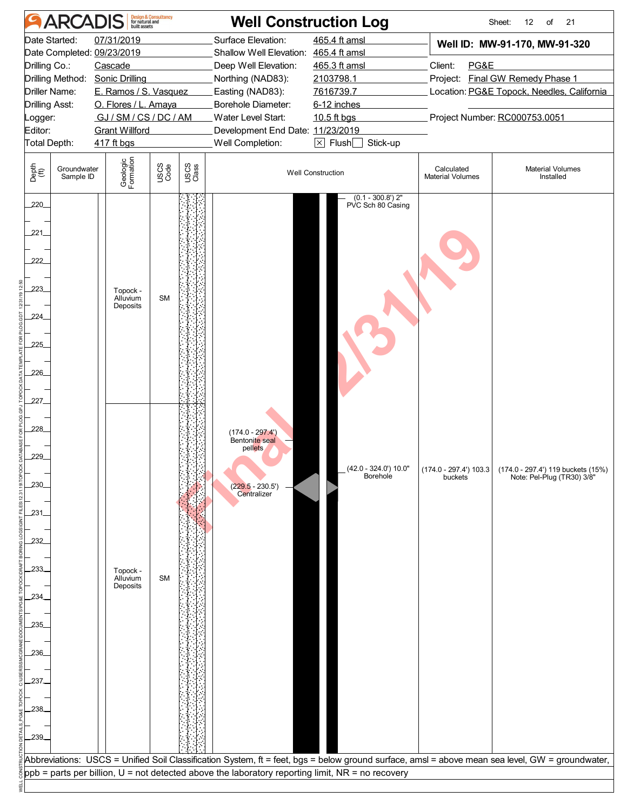| <b>ARCADIS</b>                                                                                                                                                           | <b>Design &amp; Consultancy<br/>for natural and<br/>built assets</b>                                                                    |               | <b>Well Construction Log</b>                                                                                                                                                                                                            |                                                                                                                                |                                       | Sheet:<br>12<br>21<br>of                                                                                                                         |
|--------------------------------------------------------------------------------------------------------------------------------------------------------------------------|-----------------------------------------------------------------------------------------------------------------------------------------|---------------|-----------------------------------------------------------------------------------------------------------------------------------------------------------------------------------------------------------------------------------------|--------------------------------------------------------------------------------------------------------------------------------|---------------------------------------|--------------------------------------------------------------------------------------------------------------------------------------------------|
| Date Started:<br>Date Completed: 09/23/2019<br>Drilling Co.:<br>Drilling Method: Sonic Drilling<br>Driller Name:<br>Drilling Asst:<br>.ogger:<br>Editor:<br>Total Depth: | 07/31/2019<br>Cascade<br>E. Ramos / S. Vasquez<br>O. Flores / L. Amaya<br>GJ / SM / CS / DC / AM<br><b>Grant Willford</b><br>417 ft bgs |               | Surface Elevation:<br>Shallow Well Elevation: 465.4 ft amsl<br>Deep Well Elevation:<br>Northing (NAD83):<br>Easting (NAD83):<br>Borehole Diameter:<br><b>Water Level Start:</b><br>Development End Date: 11/23/2019<br>Well Completion: | 465.4 ft amsl<br>465.3 ft amsl<br>2103798.1<br>7616739.7<br>6-12 inches<br>10.5 ft bgs<br>$\boxtimes$ Flush $\Box$<br>Stick-up | Client:<br>PG&E                       | Well ID: MW-91-170, MW-91-320<br>Project: Final GW Remedy Phase 1<br>Location: PG&E Topock, Needles, California<br>Project Number: RC000753.0051 |
| Depth<br>(ft)<br>Groundwater<br>Sample ID                                                                                                                                | Geologic<br>Formation<br>USCS<br>Code                                                                                                   | USCS<br>Class |                                                                                                                                                                                                                                         | <b>Well Construction</b>                                                                                                       | Calculated<br><b>Material Volumes</b> | <b>Material Volumes</b><br>Installed                                                                                                             |
| 220<br>221<br>222<br>223<br>224<br>225<br>226<br>227                                                                                                                     | Topock -<br>Alluvium<br>Deposits                                                                                                        | <b>SM</b>     |                                                                                                                                                                                                                                         | $(0.1 - 300.8')$ 2"<br>PVC Sch 80 Casing                                                                                       |                                       |                                                                                                                                                  |
| 228<br>229_<br>.230.<br>231<br>232<br>233.<br>234.<br>235                                                                                                                | Topock -<br><b>SM</b><br>Alluvium<br>Deposits                                                                                           |               | $(174.0 - 297.4)$<br>Bentonite seal<br>pellets<br>$(229.5 - 230.5') -$ Centralizer                                                                                                                                                      | (42.0 - 324.0') 10.0"<br>Borehole                                                                                              | buckets                               | $(174.0 - 297.4')$ 103.3 $(174.0 - 297.4')$ 119 buckets (15%)<br>Note: Pel-Plug (TR30) 3/8"                                                      |
| 236.<br>237.<br>238.<br>239                                                                                                                                              |                                                                                                                                         |               | ppb = parts per billion, U = not detected above the laboratory reporting limit, NR = no recovery                                                                                                                                        |                                                                                                                                |                                       | Abbreviations: USCS = Unified Soil Classification System, ft = feet, bgs = below ground surface, amsl = above mean sea level, GW = groundwater,  |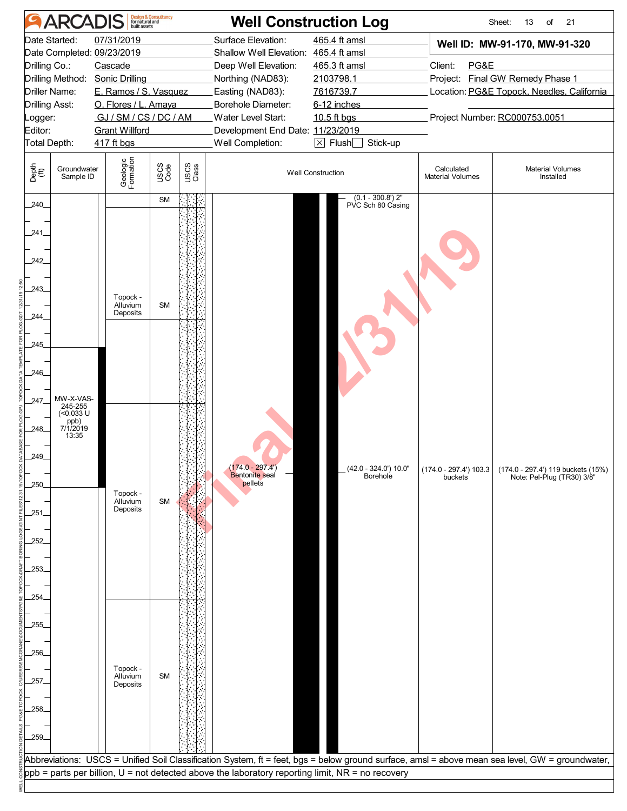|                | <b>ARCADIS</b>           |                                 | Design & Consultancy<br>for natural and<br>built assets |               |                                                                                                  | <b>Well Construction Log</b>             |                                       | Sheet:<br>21<br>13<br>of                                                                                                                        |
|----------------|--------------------------|---------------------------------|---------------------------------------------------------|---------------|--------------------------------------------------------------------------------------------------|------------------------------------------|---------------------------------------|-------------------------------------------------------------------------------------------------------------------------------------------------|
|                | Date Started:            | 07/31/2019                      |                                                         |               | Surface Elevation:                                                                               | 465.4 ft amsl                            |                                       | Well ID: MW-91-170, MW-91-320                                                                                                                   |
|                |                          | Date Completed: 09/23/2019      |                                                         |               | Shallow Well Elevation: 465.4 ft amsl                                                            |                                          |                                       |                                                                                                                                                 |
| Drilling Co.:  |                          | Cascade                         |                                                         |               | Deep Well Elevation:                                                                             | 465.3 ft amsl                            | Client:<br>PG&E                       |                                                                                                                                                 |
|                |                          | Drilling Method: Sonic Drilling |                                                         |               | Northing (NAD83):                                                                                | 2103798.1                                |                                       | Project: Final GW Remedy Phase 1                                                                                                                |
|                | Driller Name:            | E. Ramos / S. Vasquez           |                                                         |               | Easting (NAD83):                                                                                 | 7616739.7                                |                                       | Location: PG&E Topock, Needles, California                                                                                                      |
| Drilling Asst: |                          | O. Flores / L. Amaya            |                                                         |               | Borehole Diameter:                                                                               | 6-12 inches                              |                                       |                                                                                                                                                 |
| _ogger:        |                          | GJ/SM/CS/DC/AM                  |                                                         |               | Water Level Start:                                                                               | 10.5 ft bgs                              |                                       | Project Number: RC000753.0051                                                                                                                   |
| Editor:        |                          | <b>Grant Willford</b>           |                                                         |               | Development End Date: 11/23/2019                                                                 |                                          |                                       |                                                                                                                                                 |
| Total Depth:   |                          | 417 ft bgs                      |                                                         |               | Well Completion:                                                                                 | $\boxtimes$ Flush $\Box$<br>Stick-up     |                                       |                                                                                                                                                 |
|                |                          |                                 |                                                         |               |                                                                                                  |                                          |                                       |                                                                                                                                                 |
| Depth<br>(ft)  | Groundwater<br>Sample ID | Geologic<br>Formation           | USCS<br>Code                                            | USCS<br>Class |                                                                                                  | <b>Well Construction</b>                 | Calculated<br><b>Material Volumes</b> | <b>Material Volumes</b><br>Installed                                                                                                            |
| 240            |                          |                                 | <b>SM</b>                                               |               |                                                                                                  | $(0.1 - 300.8')$ 2"<br>PVC Sch 80 Casing |                                       |                                                                                                                                                 |
|                |                          |                                 |                                                         |               |                                                                                                  |                                          |                                       |                                                                                                                                                 |
| 241.           |                          |                                 |                                                         |               |                                                                                                  |                                          |                                       |                                                                                                                                                 |
|                |                          |                                 |                                                         |               |                                                                                                  |                                          |                                       |                                                                                                                                                 |
| 242            |                          |                                 |                                                         |               |                                                                                                  |                                          |                                       |                                                                                                                                                 |
|                |                          |                                 |                                                         |               |                                                                                                  |                                          |                                       |                                                                                                                                                 |
| 243            |                          | Topock -                        |                                                         |               |                                                                                                  |                                          |                                       |                                                                                                                                                 |
|                |                          | Alluvium                        | <b>SM</b>                                               |               |                                                                                                  |                                          |                                       |                                                                                                                                                 |
| 244.           |                          | Deposits                        |                                                         |               |                                                                                                  |                                          |                                       |                                                                                                                                                 |
|                |                          |                                 |                                                         |               |                                                                                                  |                                          |                                       |                                                                                                                                                 |
| 245            |                          |                                 |                                                         |               |                                                                                                  |                                          |                                       |                                                                                                                                                 |
|                |                          |                                 |                                                         |               |                                                                                                  |                                          |                                       |                                                                                                                                                 |
| 246            |                          |                                 |                                                         |               |                                                                                                  |                                          |                                       |                                                                                                                                                 |
|                |                          |                                 |                                                         |               |                                                                                                  |                                          |                                       |                                                                                                                                                 |
| 247.           | MW-X-VAS-                |                                 |                                                         |               |                                                                                                  |                                          |                                       |                                                                                                                                                 |
|                | 245-255<br>(<0.033 U     |                                 |                                                         |               |                                                                                                  |                                          |                                       |                                                                                                                                                 |
| 248            | ppb)<br>7/1/2019         |                                 |                                                         |               |                                                                                                  |                                          |                                       |                                                                                                                                                 |
|                | 13:35                    |                                 |                                                         |               |                                                                                                  |                                          |                                       |                                                                                                                                                 |
| 249            |                          |                                 |                                                         |               |                                                                                                  |                                          |                                       |                                                                                                                                                 |
|                |                          |                                 |                                                         |               | $(174.0 - 297.4)$                                                                                | (42.0 - 324.0') 10.0"                    |                                       | (174.0 - 297.4') 103.3 (174.0 - 297.4') 119 buckets (15%)                                                                                       |
| 250            |                          |                                 |                                                         |               | Bentonite seal<br>pellets                                                                        | Borehole                                 | buckets                               | Note: Pel-Plug (TR30) 3/8"                                                                                                                      |
|                |                          | Topock -                        |                                                         |               |                                                                                                  |                                          |                                       |                                                                                                                                                 |
| 251            |                          | Alluvium<br>Deposits            | <b>SM</b>                                               |               |                                                                                                  |                                          |                                       |                                                                                                                                                 |
|                |                          |                                 |                                                         |               |                                                                                                  |                                          |                                       |                                                                                                                                                 |
|                |                          |                                 |                                                         |               |                                                                                                  |                                          |                                       |                                                                                                                                                 |
| 252            |                          |                                 |                                                         |               |                                                                                                  |                                          |                                       |                                                                                                                                                 |
|                |                          |                                 |                                                         |               |                                                                                                  |                                          |                                       |                                                                                                                                                 |
|                |                          |                                 |                                                         |               |                                                                                                  |                                          |                                       |                                                                                                                                                 |
|                |                          |                                 |                                                         |               |                                                                                                  |                                          |                                       |                                                                                                                                                 |
| 254            |                          |                                 |                                                         |               |                                                                                                  |                                          |                                       |                                                                                                                                                 |
|                |                          |                                 |                                                         |               |                                                                                                  |                                          |                                       |                                                                                                                                                 |
| 255            |                          |                                 |                                                         |               |                                                                                                  |                                          |                                       |                                                                                                                                                 |
|                |                          |                                 |                                                         |               |                                                                                                  |                                          |                                       |                                                                                                                                                 |
| 256            |                          |                                 |                                                         |               |                                                                                                  |                                          |                                       |                                                                                                                                                 |
|                |                          | Topock -                        |                                                         |               |                                                                                                  |                                          |                                       |                                                                                                                                                 |
| 257            |                          | Alluvium<br>Deposits            | <b>SM</b>                                               |               |                                                                                                  |                                          |                                       |                                                                                                                                                 |
|                |                          |                                 |                                                         |               |                                                                                                  |                                          |                                       |                                                                                                                                                 |
| 258            |                          |                                 |                                                         |               |                                                                                                  |                                          |                                       |                                                                                                                                                 |
|                |                          |                                 |                                                         |               |                                                                                                  |                                          |                                       |                                                                                                                                                 |
| 259            |                          |                                 |                                                         |               |                                                                                                  |                                          |                                       |                                                                                                                                                 |
|                |                          |                                 |                                                         |               |                                                                                                  |                                          |                                       |                                                                                                                                                 |
|                |                          |                                 |                                                         |               |                                                                                                  |                                          |                                       | Abbreviations: USCS = Unified Soil Classification System, ft = feet, bgs = below ground surface, amsl = above mean sea level, GW = groundwater, |
|                |                          |                                 |                                                         |               | ppb = parts per billion, U = not detected above the laboratory reporting limit, NR = no recovery |                                          |                                       |                                                                                                                                                 |
|                |                          |                                 |                                                         |               |                                                                                                  |                                          |                                       |                                                                                                                                                 |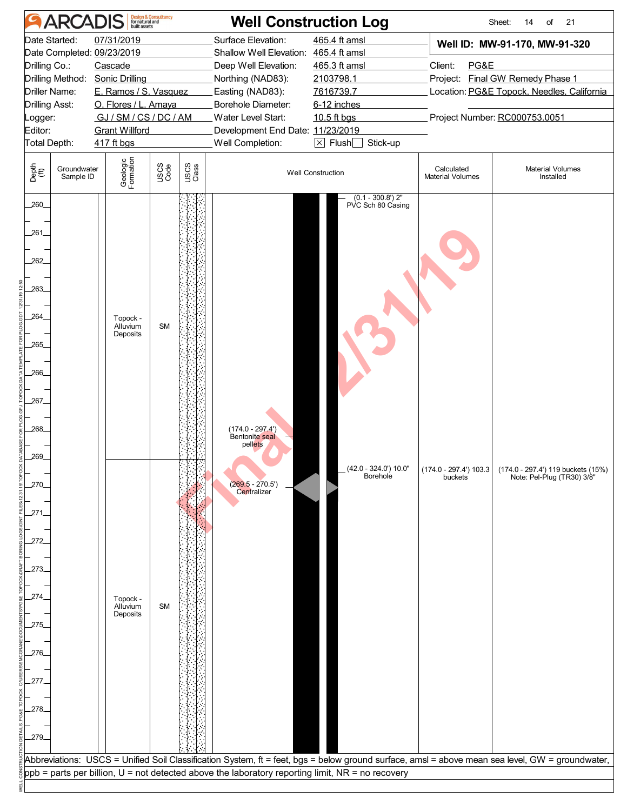|                                                                               | <b>ARCADIS</b>                                     |                                                                                                                                                                                                | <b>Design &amp; Consultancy</b><br>for natural and<br>built assets |               | <b>Well Construction Log</b>                                                                                                                                                                                                     |                                                                                                                                |                                       | Sheet:<br>21<br>14<br>of                                                                                                                         |
|-------------------------------------------------------------------------------|----------------------------------------------------|------------------------------------------------------------------------------------------------------------------------------------------------------------------------------------------------|--------------------------------------------------------------------|---------------|----------------------------------------------------------------------------------------------------------------------------------------------------------------------------------------------------------------------------------|--------------------------------------------------------------------------------------------------------------------------------|---------------------------------------|--------------------------------------------------------------------------------------------------------------------------------------------------|
| Drilling Co.:<br>Drilling Asst:<br>.ogger:<br>Editor:<br>Total Depth:         | Date Started:<br>Drilling Method:<br>Driller Name: | 07/31/2019<br>Date Completed: 09/23/2019<br>Cascade<br><b>Sonic Drilling</b><br>E. Ramos / S. Vasquez<br>O. Flores / L. Amaya<br>GJ / SM / CS / DC / AM<br><b>Grant Willford</b><br>417 ft bgs |                                                                    |               | Surface Elevation:<br>Shallow Well Elevation: 465.4 ft amsl<br>Deep Well Elevation:<br>Northing (NAD83):<br>Easting (NAD83):<br>Borehole Diameter:<br>Water Level Start:<br>Development End Date: 11/23/2019<br>Well Completion: | 465.4 ft amsl<br>465.3 ft amsl<br>2103798.1<br>7616739.7<br>6-12 inches<br>10.5 ft bgs<br>$\boxtimes$ Flush $\Box$<br>Stick-up | Client:<br>PG&E                       | Well ID: MW-91-170, MW-91-320<br>Project: Final GW Remedy Phase 1<br>Location: PG&E Topock, Needles, California<br>Project Number: RC000753.0051 |
| Depth<br>(ft)                                                                 | Groundwater<br>Sample ID                           | Geologic<br>Formation                                                                                                                                                                          | USCS<br>Code                                                       | USCS<br>Class |                                                                                                                                                                                                                                  | <b>Well Construction</b>                                                                                                       | Calculated<br><b>Material Volumes</b> | <b>Material Volumes</b><br>Installed                                                                                                             |
| 260<br>261<br>262<br>263_<br>264<br>265.<br>.266<br>267_<br>.268<br>269_      |                                                    | Topock -<br>Alluvium<br>Deposits                                                                                                                                                               | <b>SM</b>                                                          |               | $(174.0 - 297.4')$<br>Bentonite seal<br>pellets                                                                                                                                                                                  | $(0.1 - 300.8')$ 2"<br>PVC Sch 80 Casing<br>$(42.0 - 324.0)$ 10.0"                                                             |                                       | (174.0 - 297.4') 103.3 (174.0 - 297.4') 119 buckets (15%)                                                                                        |
| .270.<br>271.<br>272<br>273.<br>274.<br>275<br>276.<br>.277<br>278.<br>$-279$ |                                                    | Topock -<br>Alluvium<br>Deposits                                                                                                                                                               | <b>SM</b>                                                          |               | $(269.5 - 270.5')$<br>Centralizer                                                                                                                                                                                                | Borehole                                                                                                                       | buckets                               | Note: Pel-Plug (TR30) 3/8"                                                                                                                       |
|                                                                               |                                                    |                                                                                                                                                                                                |                                                                    |               | ppb = parts per billion, U = not detected above the laboratory reporting limit, NR = no recovery                                                                                                                                 |                                                                                                                                |                                       | Abbreviations:  USCS = Unified Soil Classification System, ft = feet, bgs = below ground surface, amsl = above mean sea level, GW = groundwater, |
|                                                                               |                                                    |                                                                                                                                                                                                |                                                                    |               |                                                                                                                                                                                                                                  |                                                                                                                                |                                       |                                                                                                                                                  |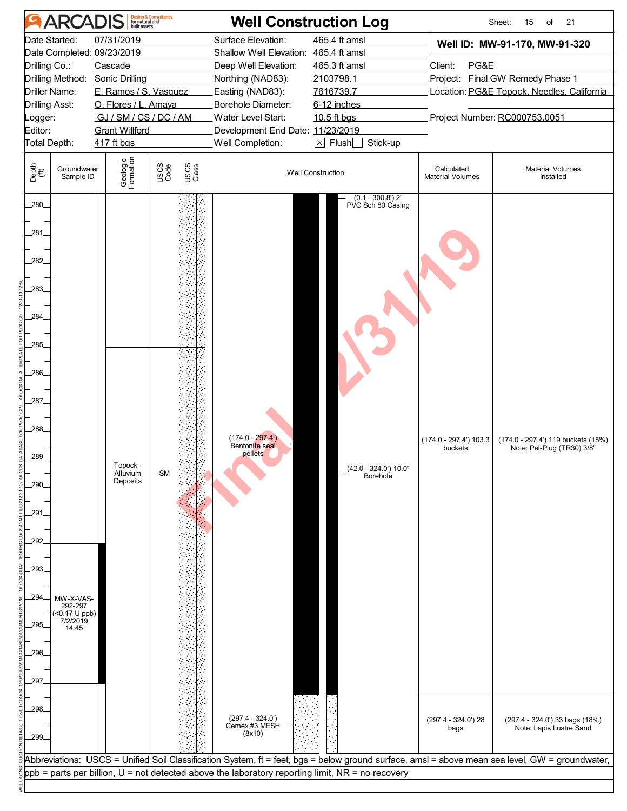| <b>ARCADIS</b>                                                                                                                                                                                                  | <b>Design &amp; Consultancy</b><br>for natural and<br>built assets                                                                                               | <b>Well Construction Log</b>                                                                                                                                                                                                                            |                                                                                                                                                 |                                                                    | Sheet:<br>21<br>15<br>of                                                                                                                         |
|-----------------------------------------------------------------------------------------------------------------------------------------------------------------------------------------------------------------|------------------------------------------------------------------------------------------------------------------------------------------------------------------|---------------------------------------------------------------------------------------------------------------------------------------------------------------------------------------------------------------------------------------------------------|-------------------------------------------------------------------------------------------------------------------------------------------------|--------------------------------------------------------------------|--------------------------------------------------------------------------------------------------------------------------------------------------|
| Date Started:<br>Date Completed: 09/23/2019<br>Drilling Co.:<br>Drilling Method:<br>Driller Name:<br>Drilling Asst:<br>.ogger:<br>Editor:<br>Total Depth:                                                       | 07/31/2019<br>Cascade<br><b>Sonic Drilling</b><br>E. Ramos / S. Vasquez<br>O. Flores / L. Amaya<br>GJ / SM / CS / DC / AM<br><b>Grant Willford</b><br>417 ft bgs | Surface Elevation:<br>Shallow Well Elevation: 465.4 ft amsl<br>Deep Well Elevation:<br>Northing (NAD83):<br>Easting (NAD83):<br>Borehole Diameter:<br>Water Level Start:<br>Development End Date: 11/23/2019<br>Well Completion:                        | 465.4 ft amsl<br>465.3 ft amsl<br>2103798.1<br>7616739.7<br>6-12 inches<br>10.5 ft bgs<br>$\boxed{\times}$ Flush $\boxed{\phantom{0}}$ Stick-up | Client:<br>PG&E                                                    | Well ID: MW-91-170, MW-91-320<br>Project: Final GW Remedy Phase 1<br>Location: PG&E Topock, Needles, California<br>Project Number: RC000753.0051 |
| Depth<br>(ff)<br>Groundwater<br>Sample ID                                                                                                                                                                       | Geologic<br>Formation<br>USCS<br>Code<br>USCS<br>Class                                                                                                           |                                                                                                                                                                                                                                                         | <b>Well Construction</b>                                                                                                                        | Calculated<br><b>Material Volumes</b>                              | <b>Material Volumes</b><br>Installed                                                                                                             |
| 280_<br>281<br>282<br>283<br>284_<br>285<br>286<br>287<br>288<br>289<br>290.<br>.291<br>292<br>293.<br>294<br>MW-X-VAS-<br>$292-297$<br>(<0.17 U ppb)<br>7/2/2019<br>295<br>14:45<br>296.<br>297.<br>298<br>299 | Topock -<br>Alluvium<br><b>SM</b><br>Deposits                                                                                                                    | $(174.0 - 297.4)$<br>Bentonite seal<br>pellets<br>$(297.4 - 324.0')$<br>Cemex #3 MESH<br>(8x10)                                                                                                                                                         | $(0.1 - 300.8')$ 2"<br>PVC Sch 80 Casing<br>(42.0 - 324.0') 10.0"<br>Borehole                                                                   | $(174.0 - 297.4)$ 103.3<br>buckets<br>$(297.4 - 324.0)$ 28<br>bags | (174.0 - 297.4') 119 buckets (15%)<br>Note: Pel-Plug (TR30) 3/8"<br>(297.4 - 324.0') 33 bags (18%)<br>Note: Lapis Lustre Sand                    |
|                                                                                                                                                                                                                 |                                                                                                                                                                  | Abbreviations: USCS = Unified Soil Classification System, ft = feet, bgs = below ground surface, amsl = above mean sea level, GW = groundwater,<br>$ppb =$ parts per billion, $U =$ not detected above the laboratory reporting limit, NR = no recovery |                                                                                                                                                 |                                                                    |                                                                                                                                                  |
|                                                                                                                                                                                                                 |                                                                                                                                                                  |                                                                                                                                                                                                                                                         |                                                                                                                                                 |                                                                    |                                                                                                                                                  |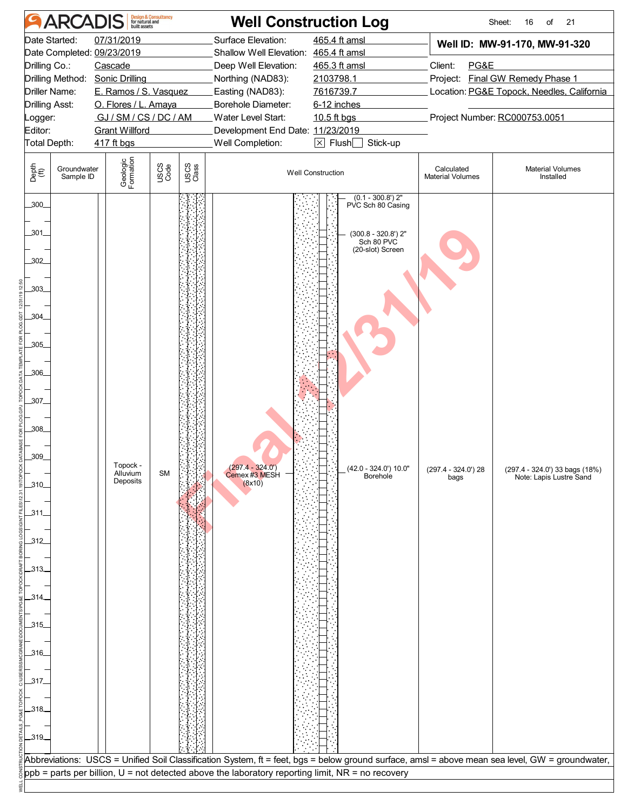| <b>ARCADIS</b>                                                                                                                                                        | <b>Design &amp; Consultancy</b><br>for natural and<br>built assets                                                                                       |               | <b>Well Construction Log</b>                                                                                                                                                                                                     |                                                                                                                                                 |                                       | Sheet:<br>21<br>16<br>of                                                                                                                                                                                     |
|-----------------------------------------------------------------------------------------------------------------------------------------------------------------------|----------------------------------------------------------------------------------------------------------------------------------------------------------|---------------|----------------------------------------------------------------------------------------------------------------------------------------------------------------------------------------------------------------------------------|-------------------------------------------------------------------------------------------------------------------------------------------------|---------------------------------------|--------------------------------------------------------------------------------------------------------------------------------------------------------------------------------------------------------------|
| Date Started:<br>Date Completed: 09/23/2019<br>Drilling Co.:<br>Drilling Method:<br>Driller Name:<br>Drilling Asst:<br>.ogger:<br>Editor:<br>Total Depth:             | 07/31/2019<br>Cascade<br><b>Sonic Drilling</b><br>E. Ramos / S. Vasquez<br>O. Flores / L. Amaya<br>GJ/SM/CS/DC/AM<br><b>Grant Willford</b><br>417 ft bgs |               | Surface Elevation:<br>Shallow Well Elevation: 465.4 ft amsl<br>Deep Well Elevation:<br>Northing (NAD83):<br>Easting (NAD83):<br>Borehole Diameter:<br>Water Level Start:<br>Development End Date: 11/23/2019<br>Well Completion: | 465.4 ft amsl<br>465.3 ft amsl<br>2103798.1<br>7616739.7<br>6-12 inches<br>10.5 ft bgs<br>$\boxed{\times}$ Flush $\boxed{\phantom{0}}$ Stick-up | PG&E<br>Client:                       | Well ID: MW-91-170, MW-91-320<br>Project: Final GW Remedy Phase 1<br>Location: PG&E Topock, Needles, California<br>Project Number: RC000753.0051                                                             |
| Depth<br>(ff)<br>Groundwater<br>Sample ID                                                                                                                             | Geologic<br>Formation<br>USCS<br>Code                                                                                                                    | USCS<br>Class |                                                                                                                                                                                                                                  | <b>Well Construction</b>                                                                                                                        | Calculated<br><b>Material Volumes</b> | <b>Material Volumes</b><br>Installed                                                                                                                                                                         |
| .300<br>.301<br>.302<br>.303.<br>.304<br>.305<br>.306<br>.307.<br>.308.<br>.309_<br>.310.<br>ـ311ـ<br>312<br>.313.<br>.314.<br>.315.<br>.316.<br>.317.<br>.318<br>319 | Topock -<br>Alluvium<br><b>SM</b><br>Deposits                                                                                                            |               | $(297.4 - 324.0)$<br>Cemex #3 MESH<br>(8x10)                                                                                                                                                                                     | $(0.1 - 300.8')$ 2"<br>PVC Sch 80 Casing<br>$(300.8 - 320.8')$ 2"<br>Sch 80 PVC<br>(20-slot) Screen<br>(42.0 - 324.0') 10.0"<br>Borehole        | $(297.4 - 324.0)$ 28<br>bags          | (297.4 - 324.0') 33 bags (18%)<br>Note: Lapis Lustre Sand<br>Abbreviations: USCS = Unified Soil Classification System, ft = feet, bgs = below ground surface, amsl = above mean sea level, GW = groundwater, |
|                                                                                                                                                                       |                                                                                                                                                          |               | $ppb =$ parts per billion, $U =$ not detected above the laboratory reporting limit, NR = no recovery                                                                                                                             |                                                                                                                                                 |                                       |                                                                                                                                                                                                              |
|                                                                                                                                                                       |                                                                                                                                                          |               |                                                                                                                                                                                                                                  |                                                                                                                                                 |                                       |                                                                                                                                                                                                              |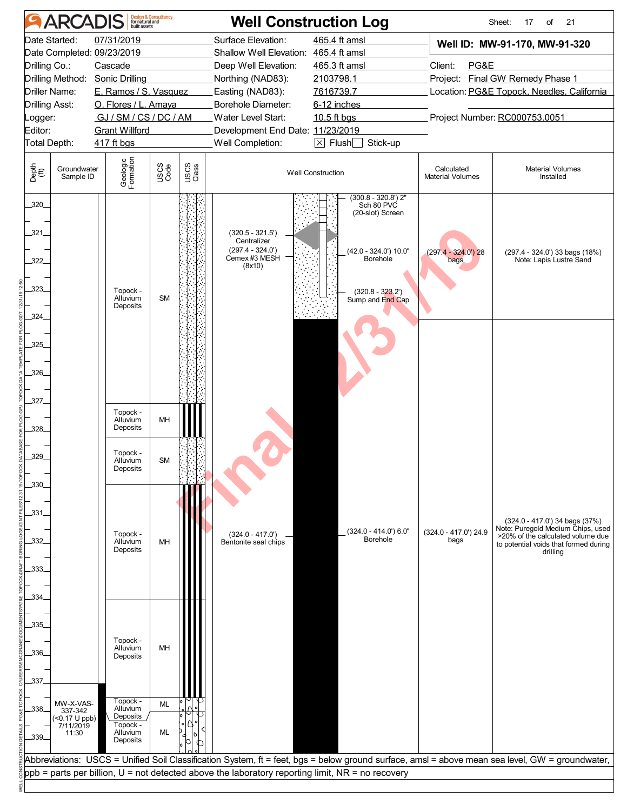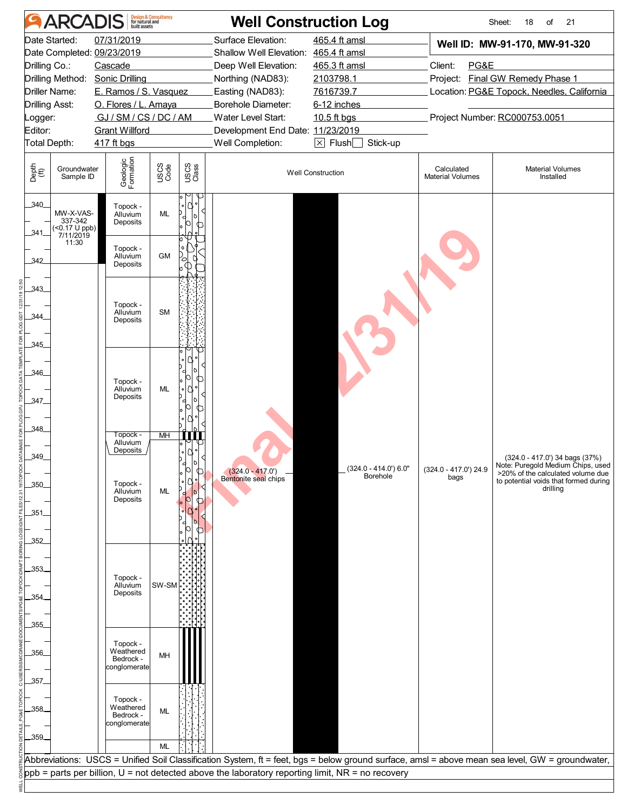|                             | <b>ARCADIS</b>                                                                                                                                                                                                                                          |                                  | <b>Design &amp; Consultancy</b><br>for natural and<br>built assets |                    | <b>Well Construction Log</b>               |                                           |                                            | Sheet:<br>18<br>of<br>21                                               |  |  |  |
|-----------------------------|---------------------------------------------------------------------------------------------------------------------------------------------------------------------------------------------------------------------------------------------------------|----------------------------------|--------------------------------------------------------------------|--------------------|--------------------------------------------|-------------------------------------------|--------------------------------------------|------------------------------------------------------------------------|--|--|--|
| 07/31/2019<br>Date Started: |                                                                                                                                                                                                                                                         |                                  |                                                                    | Surface Elevation: | 465.4 ft amsl                              | Well ID: MW-91-170, MW-91-320             |                                            |                                                                        |  |  |  |
|                             | Date Completed: 09/23/2019                                                                                                                                                                                                                              |                                  |                                                                    |                    | Shallow Well Elevation: 465.4 ft amsl      |                                           |                                            |                                                                        |  |  |  |
| Drilling Co.:               |                                                                                                                                                                                                                                                         | Cascade                          |                                                                    |                    | Deep Well Elevation:                       | 465.3 ft amsl                             | Client:<br>PG&E                            |                                                                        |  |  |  |
|                             |                                                                                                                                                                                                                                                         | Drilling Method: Sonic Drilling  |                                                                    |                    | Northing (NAD83):                          | 2103798.1                                 |                                            | Project: Final GW Remedy Phase 1                                       |  |  |  |
|                             | Driller Name:                                                                                                                                                                                                                                           | E. Ramos / S. Vasquez            |                                                                    |                    | Easting (NAD83):                           | 7616739.7                                 | Location: PG&E Topock, Needles, California |                                                                        |  |  |  |
| <b>Drilling Asst:</b>       |                                                                                                                                                                                                                                                         | O. Flores / L. Amaya             |                                                                    |                    | Borehole Diameter:                         | 6-12 inches                               |                                            |                                                                        |  |  |  |
| ogger:                      |                                                                                                                                                                                                                                                         | GJ / SM / CS / DC / AM           |                                                                    |                    | Water Level Start:<br>10.5 ft bgs          |                                           |                                            | Project Number: RC000753.0051                                          |  |  |  |
| Editor:                     |                                                                                                                                                                                                                                                         | <b>Grant Willford</b>            |                                                                    |                    |                                            | Development End Date: 11/23/2019          |                                            |                                                                        |  |  |  |
|                             | $\boxtimes$ Flush $\Box$<br>Stick-up<br>Total Depth:<br>Well Completion:<br>417 ft bgs                                                                                                                                                                  |                                  |                                                                    |                    |                                            |                                           |                                            |                                                                        |  |  |  |
| Depth<br>(ft)               | Groundwater<br>Sample ID                                                                                                                                                                                                                                | Geologic<br>Formation            | USCS<br>Code                                                       | USCS<br>Class      |                                            | <b>Well Construction</b>                  | Calculated<br><b>Material Volumes</b>      | <b>Material Volumes</b><br>Installed                                   |  |  |  |
| 340<br>.341.                | MW-X-VAS-<br>337-342<br>$\frac{\times 0.17 \text{ U } \text{p}}{7/11/2019}$                                                                                                                                                                             | Topock -<br>Alluvium<br>Deposits | ML                                                                 | ↶                  |                                            |                                           |                                            |                                                                        |  |  |  |
| 342                         | 11:30                                                                                                                                                                                                                                                   | Topock -<br>Alluvium<br>Deposits | <b>GM</b>                                                          | 1 o l<br>$\circ$   |                                            |                                           |                                            |                                                                        |  |  |  |
| 343                         |                                                                                                                                                                                                                                                         |                                  |                                                                    |                    |                                            |                                           |                                            |                                                                        |  |  |  |
| .344                        |                                                                                                                                                                                                                                                         | Topock -<br>Alluvium<br>Deposits | <b>SM</b>                                                          |                    |                                            |                                           |                                            |                                                                        |  |  |  |
| 345                         |                                                                                                                                                                                                                                                         |                                  |                                                                    |                    |                                            |                                           |                                            |                                                                        |  |  |  |
|                             |                                                                                                                                                                                                                                                         |                                  |                                                                    |                    |                                            |                                           |                                            |                                                                        |  |  |  |
| 346                         |                                                                                                                                                                                                                                                         |                                  |                                                                    | IC                 |                                            |                                           |                                            |                                                                        |  |  |  |
|                             |                                                                                                                                                                                                                                                         | Topock -<br>Alluvium             | ML                                                                 | ∩                  |                                            |                                           |                                            |                                                                        |  |  |  |
| 347                         |                                                                                                                                                                                                                                                         | Deposits                         |                                                                    |                    |                                            |                                           |                                            |                                                                        |  |  |  |
|                             |                                                                                                                                                                                                                                                         |                                  |                                                                    |                    |                                            |                                           |                                            |                                                                        |  |  |  |
| .348_                       |                                                                                                                                                                                                                                                         |                                  |                                                                    |                    |                                            |                                           |                                            |                                                                        |  |  |  |
|                             |                                                                                                                                                                                                                                                         | Topock -<br>Alluvium             | MH                                                                 |                    |                                            |                                           |                                            |                                                                        |  |  |  |
| .349_                       |                                                                                                                                                                                                                                                         | Deposits                         |                                                                    |                    |                                            |                                           |                                            | (324.0 - 417.0') 34 bags (37%)                                         |  |  |  |
|                             |                                                                                                                                                                                                                                                         |                                  |                                                                    |                    | $(324.0 - 417.0')$<br>Bentonite seal chips | $(324.0 - 414.0)$ 6.0"<br><b>Borehole</b> | $(324.0 - 417.0)$ 24.9<br>bags             | Note: Puregold Medium Chips, used<br>>20% of the calculated volume due |  |  |  |
| .350.                       |                                                                                                                                                                                                                                                         | Topock -<br>Alluvium             | ML                                                                 |                    |                                            |                                           |                                            | to potential voids that formed during<br>drilling                      |  |  |  |
|                             |                                                                                                                                                                                                                                                         | Deposits                         |                                                                    |                    |                                            |                                           |                                            |                                                                        |  |  |  |
| .351.                       |                                                                                                                                                                                                                                                         |                                  |                                                                    |                    |                                            |                                           |                                            |                                                                        |  |  |  |
|                             |                                                                                                                                                                                                                                                         |                                  |                                                                    |                    |                                            |                                           |                                            |                                                                        |  |  |  |
| 352                         |                                                                                                                                                                                                                                                         |                                  |                                                                    |                    |                                            |                                           |                                            |                                                                        |  |  |  |
|                             |                                                                                                                                                                                                                                                         |                                  |                                                                    |                    |                                            |                                           |                                            |                                                                        |  |  |  |
| .353.                       |                                                                                                                                                                                                                                                         |                                  |                                                                    |                    |                                            |                                           |                                            |                                                                        |  |  |  |
|                             |                                                                                                                                                                                                                                                         | Topock -<br>Alluvium             | $SW-SM$                                                            |                    |                                            |                                           |                                            |                                                                        |  |  |  |
| .354.                       |                                                                                                                                                                                                                                                         | Deposits                         |                                                                    |                    |                                            |                                           |                                            |                                                                        |  |  |  |
|                             |                                                                                                                                                                                                                                                         |                                  |                                                                    |                    |                                            |                                           |                                            |                                                                        |  |  |  |
| .355.                       |                                                                                                                                                                                                                                                         |                                  |                                                                    |                    |                                            |                                           |                                            |                                                                        |  |  |  |
|                             |                                                                                                                                                                                                                                                         | Topock -                         |                                                                    |                    |                                            |                                           |                                            |                                                                        |  |  |  |
| .356_                       |                                                                                                                                                                                                                                                         | Weathered<br>Bedrock -           | MH                                                                 |                    |                                            |                                           |                                            |                                                                        |  |  |  |
|                             |                                                                                                                                                                                                                                                         | conglomerate                     |                                                                    |                    |                                            |                                           |                                            |                                                                        |  |  |  |
| .357.                       |                                                                                                                                                                                                                                                         |                                  |                                                                    |                    |                                            |                                           |                                            |                                                                        |  |  |  |
|                             |                                                                                                                                                                                                                                                         | Topock -                         |                                                                    |                    |                                            |                                           |                                            |                                                                        |  |  |  |
| .358.                       |                                                                                                                                                                                                                                                         | Weathered<br>Bedrock -           | ML                                                                 |                    |                                            |                                           |                                            |                                                                        |  |  |  |
|                             |                                                                                                                                                                                                                                                         | conglomerate                     |                                                                    |                    |                                            |                                           |                                            |                                                                        |  |  |  |
| 359                         |                                                                                                                                                                                                                                                         |                                  |                                                                    |                    |                                            |                                           |                                            |                                                                        |  |  |  |
|                             |                                                                                                                                                                                                                                                         |                                  | ML                                                                 |                    |                                            |                                           |                                            |                                                                        |  |  |  |
|                             | Abbreviations: USCS = Unified Soil Classification System, ft = feet, bgs = below ground surface, amsl = above mean sea level, GW = groundwater,<br>$ppb =$ parts per billion, $U =$ not detected above the laboratory reporting limit, NR = no recovery |                                  |                                                                    |                    |                                            |                                           |                                            |                                                                        |  |  |  |
|                             |                                                                                                                                                                                                                                                         |                                  |                                                                    |                    |                                            |                                           |                                            |                                                                        |  |  |  |
|                             |                                                                                                                                                                                                                                                         |                                  |                                                                    |                    |                                            |                                           |                                            |                                                                        |  |  |  |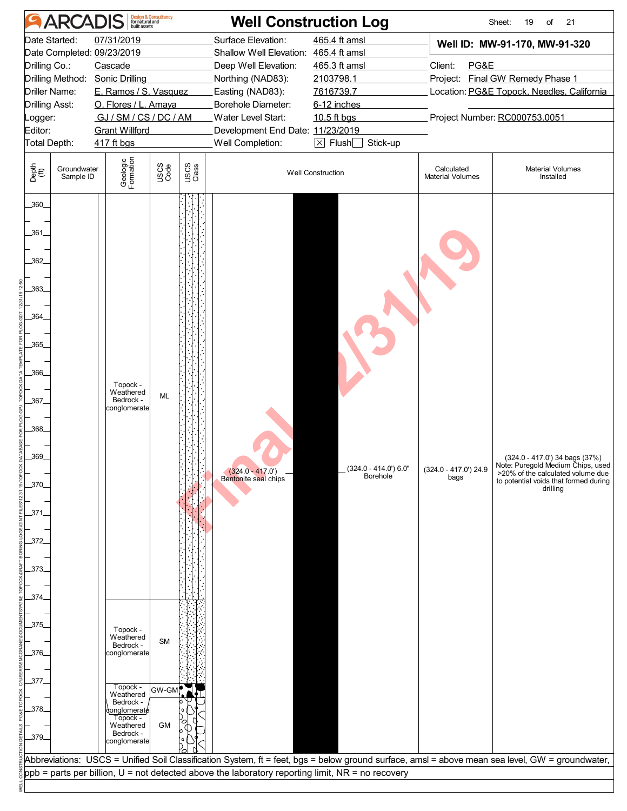|                | <b>ARCADIS</b>             |                                     | <b>Design &amp; Consultancy</b><br>for natural and<br>built assets |               | <b>Well Construction Log</b>                                                                           |                                      |                                       | Sheet:<br>19<br>21<br>of                                                                                                                        |  |
|----------------|----------------------------|-------------------------------------|--------------------------------------------------------------------|---------------|--------------------------------------------------------------------------------------------------------|--------------------------------------|---------------------------------------|-------------------------------------------------------------------------------------------------------------------------------------------------|--|
| Date Started:  |                            | 07/31/2019                          |                                                                    |               | Surface Elevation:                                                                                     | 465.4 ft amsl                        |                                       | Well ID: MW-91-170, MW-91-320                                                                                                                   |  |
|                | Date Completed: 09/23/2019 |                                     | Shallow Well Elevation: 465.4 ft amsl                              |               |                                                                                                        |                                      |                                       |                                                                                                                                                 |  |
| Drilling Co.:  |                            | Cascade                             |                                                                    |               | Deep Well Elevation:                                                                                   | 465.3 ft amsl                        |                                       | Client:<br>PG&E                                                                                                                                 |  |
|                |                            | Drilling Method: Sonic Drilling     |                                                                    |               | Northing (NAD83):                                                                                      | 2103798.1                            |                                       | Project: Final GW Remedy Phase 1                                                                                                                |  |
| Driller Name:  |                            | E. Ramos / S. Vasquez               |                                                                    |               | Easting (NAD83):                                                                                       | 7616739.7                            |                                       | Location: PG&E Topock, Needles, California                                                                                                      |  |
| Drilling Asst: |                            | O. Flores / L. Amaya                |                                                                    |               | Borehole Diameter:<br>6-12 inches                                                                      |                                      |                                       |                                                                                                                                                 |  |
| .ogger:        |                            | GJ / SM / CS / DC / AM              |                                                                    |               | Water Level Start:<br>Project Number: RC000753.0051<br>10.5 ft bgs<br>Development End Date: 11/23/2019 |                                      |                                       |                                                                                                                                                 |  |
| Editor:        |                            | <b>Grant Willford</b><br>417 ft bgs |                                                                    |               | Well Completion:                                                                                       | $\boxtimes$ Flush $\Box$<br>Stick-up |                                       |                                                                                                                                                 |  |
| Total Depth:   |                            |                                     |                                                                    |               |                                                                                                        |                                      |                                       |                                                                                                                                                 |  |
| Depth<br>(ft)  | Groundwater<br>Sample ID   | Geologic<br>Formation               | USCS<br>Code                                                       | USCS<br>Class |                                                                                                        | <b>Well Construction</b>             | Calculated<br><b>Material Volumes</b> | <b>Material Volumes</b><br>Installed                                                                                                            |  |
| .360           |                            |                                     |                                                                    |               |                                                                                                        |                                      |                                       |                                                                                                                                                 |  |
| .361.          |                            |                                     |                                                                    |               |                                                                                                        |                                      |                                       |                                                                                                                                                 |  |
| .362           |                            |                                     |                                                                    |               |                                                                                                        |                                      |                                       |                                                                                                                                                 |  |
| 363            |                            |                                     |                                                                    |               |                                                                                                        |                                      |                                       |                                                                                                                                                 |  |
|                |                            |                                     |                                                                    |               |                                                                                                        |                                      |                                       |                                                                                                                                                 |  |
| 364            |                            |                                     |                                                                    |               |                                                                                                        |                                      |                                       |                                                                                                                                                 |  |
| 365            |                            |                                     |                                                                    |               |                                                                                                        |                                      |                                       |                                                                                                                                                 |  |
| .366_          |                            |                                     |                                                                    |               |                                                                                                        |                                      |                                       |                                                                                                                                                 |  |
|                |                            | Topock -                            |                                                                    |               |                                                                                                        |                                      |                                       |                                                                                                                                                 |  |
| .367.          |                            | Weathered<br>Bedrock -              | ML                                                                 |               |                                                                                                        |                                      |                                       |                                                                                                                                                 |  |
|                |                            | conglomerate                        |                                                                    |               |                                                                                                        |                                      |                                       |                                                                                                                                                 |  |
| .368.          |                            |                                     |                                                                    |               |                                                                                                        |                                      |                                       |                                                                                                                                                 |  |
|                |                            |                                     |                                                                    |               |                                                                                                        |                                      |                                       |                                                                                                                                                 |  |
| .369_          |                            |                                     |                                                                    |               |                                                                                                        |                                      |                                       | (324.0 - 417.0') 34 bags (37%)                                                                                                                  |  |
|                |                            |                                     |                                                                    |               | $(324.0 - 417.0)$                                                                                      | (324.0 - 414.0') 6.0"                | (324.0 - 417.0') 24.9                 | Note: Puregold Medium Chips, used<br>>20% of the calculated volume due                                                                          |  |
| .370.          |                            |                                     |                                                                    |               | Bentonite seal chips                                                                                   | <b>Borehole</b>                      | bags                                  | to potential voids that formed during<br>drilling                                                                                               |  |
|                |                            |                                     |                                                                    |               |                                                                                                        |                                      |                                       |                                                                                                                                                 |  |
| .371.          |                            |                                     |                                                                    |               |                                                                                                        |                                      |                                       |                                                                                                                                                 |  |
|                |                            |                                     |                                                                    |               |                                                                                                        |                                      |                                       |                                                                                                                                                 |  |
| .372           |                            |                                     |                                                                    |               |                                                                                                        |                                      |                                       |                                                                                                                                                 |  |
|                |                            |                                     |                                                                    |               |                                                                                                        |                                      |                                       |                                                                                                                                                 |  |
| .373.          |                            |                                     |                                                                    |               |                                                                                                        |                                      |                                       |                                                                                                                                                 |  |
|                |                            |                                     |                                                                    |               |                                                                                                        |                                      |                                       |                                                                                                                                                 |  |
| 374.           |                            |                                     |                                                                    |               |                                                                                                        |                                      |                                       |                                                                                                                                                 |  |
|                |                            |                                     |                                                                    |               |                                                                                                        |                                      |                                       |                                                                                                                                                 |  |
| .375.          |                            | Topock -                            |                                                                    |               |                                                                                                        |                                      |                                       |                                                                                                                                                 |  |
|                |                            | Weathered<br>Bedrock -              | <b>SM</b>                                                          |               |                                                                                                        |                                      |                                       |                                                                                                                                                 |  |
| .376.          |                            | conglomerate                        |                                                                    |               |                                                                                                        |                                      |                                       |                                                                                                                                                 |  |
|                |                            |                                     |                                                                    |               |                                                                                                        |                                      |                                       |                                                                                                                                                 |  |
| .377.          |                            |                                     |                                                                    |               |                                                                                                        |                                      |                                       |                                                                                                                                                 |  |
|                |                            | Topock -<br>Weathered               | GW-GM                                                              |               |                                                                                                        |                                      |                                       |                                                                                                                                                 |  |
| .378.          |                            | Bedrock -<br>onglomerat <b>é</b>    |                                                                    |               |                                                                                                        |                                      |                                       |                                                                                                                                                 |  |
|                |                            | Topock -<br>Weathered               | <b>GM</b>                                                          |               |                                                                                                        |                                      |                                       |                                                                                                                                                 |  |
| _379_          |                            | Bedrock -<br>conglomerate           |                                                                    |               |                                                                                                        |                                      |                                       |                                                                                                                                                 |  |
|                |                            |                                     |                                                                    |               |                                                                                                        |                                      |                                       |                                                                                                                                                 |  |
|                |                            |                                     |                                                                    |               |                                                                                                        |                                      |                                       | Abbreviations: USCS = Unified Soil Classification System, ft = feet, bgs = below ground surface, amsl = above mean sea level, GW = groundwater, |  |
|                |                            |                                     |                                                                    |               | $ppb =$ parts per billion, $U =$ not detected above the laboratory reporting limit, NR = no recovery   |                                      |                                       |                                                                                                                                                 |  |
|                |                            |                                     |                                                                    |               |                                                                                                        |                                      |                                       |                                                                                                                                                 |  |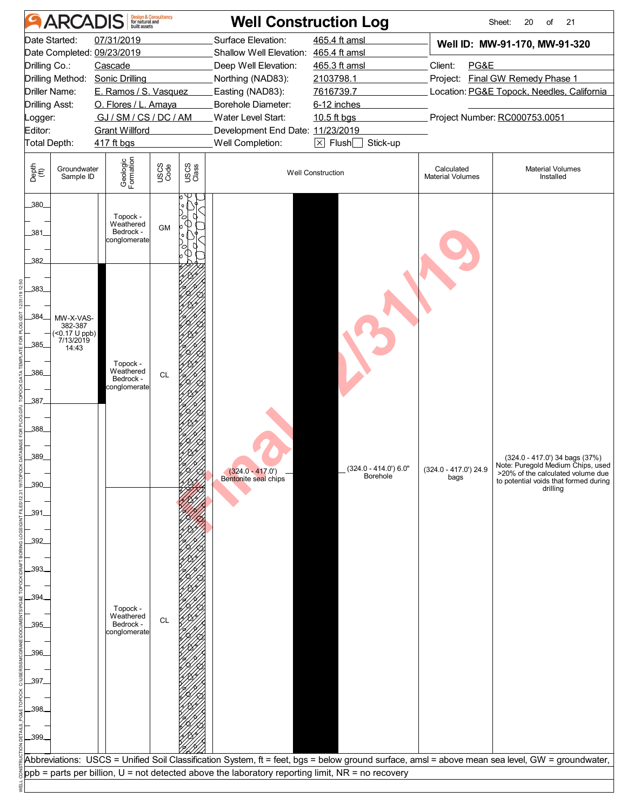|                                                                            | <b>ARCADIS</b>                                                  |                                                    | <b>Design &amp; Consultancy</b><br>for natural and<br>built assets |                  |                                                                                                  | <b>Well Construction Log</b>               |                                       | Sheet:<br>20<br>of<br>21                                                                                                                                      |  |
|----------------------------------------------------------------------------|-----------------------------------------------------------------|----------------------------------------------------|--------------------------------------------------------------------|------------------|--------------------------------------------------------------------------------------------------|--------------------------------------------|---------------------------------------|---------------------------------------------------------------------------------------------------------------------------------------------------------------|--|
|                                                                            | Date Started:                                                   | 07/31/2019                                         |                                                                    |                  | Surface Elevation:                                                                               | 465.4 ft amsl                              |                                       | Well ID: MW-91-170, MW-91-320                                                                                                                                 |  |
|                                                                            | Date Completed: 09/23/2019                                      |                                                    | Shallow Well Elevation: 465.4 ft amsl                              |                  |                                                                                                  |                                            |                                       |                                                                                                                                                               |  |
| Drilling Co.:                                                              |                                                                 | Cascade                                            |                                                                    |                  | Deep Well Elevation:                                                                             | 465.3 ft amsl                              | PG&E<br>Client:                       |                                                                                                                                                               |  |
|                                                                            | Drilling Method:                                                | <b>Sonic Drilling</b>                              |                                                                    |                  | Northing (NAD83):                                                                                | 2103798.1                                  |                                       | Project: Final GW Remedy Phase 1                                                                                                                              |  |
|                                                                            | Driller Name:                                                   | E. Ramos / S. Vasquez                              |                                                                    | Easting (NAD83): | 7616739.7                                                                                        | Location: PG&E Topock, Needles, California |                                       |                                                                                                                                                               |  |
|                                                                            | Drilling Asst:                                                  | O. Flores / L. Amaya                               |                                                                    |                  | Borehole Diameter:                                                                               | 6-12 inches                                |                                       |                                                                                                                                                               |  |
| _ogger:                                                                    |                                                                 | GJ/SM/CS/DC/AM                                     |                                                                    |                  | Water Level Start:<br>10.5 ft bgs                                                                |                                            |                                       | Project Number: RC000753.0051                                                                                                                                 |  |
| Editor:                                                                    |                                                                 | <b>Grant Willford</b>                              |                                                                    |                  | Development End Date: 11/23/2019                                                                 |                                            |                                       |                                                                                                                                                               |  |
| Total Depth:                                                               |                                                                 | 417 ft bgs                                         |                                                                    |                  | Well Completion:                                                                                 | $\boxtimes$ Flush $\Box$<br>Stick-up       |                                       |                                                                                                                                                               |  |
| Depth<br>(ft)                                                              | Groundwater<br>Sample ID                                        | Geologic<br>Formation                              | USCS<br>Code                                                       | USCS<br>Class    |                                                                                                  | <b>Well Construction</b>                   | Calculated<br><b>Material Volumes</b> | <b>Material Volumes</b><br>Installed                                                                                                                          |  |
| 380                                                                        |                                                                 |                                                    |                                                                    |                  |                                                                                                  |                                            |                                       |                                                                                                                                                               |  |
| 381<br>382                                                                 |                                                                 | Topock -<br>Weathered<br>Bedrock -<br>conglomerate | <b>GM</b>                                                          |                  |                                                                                                  |                                            |                                       |                                                                                                                                                               |  |
| 383<br>384<br>.385.<br>.386<br>.387<br>388<br>389<br>.390.<br>.391.<br>392 | MW-X-VAS-<br>382-387<br>$($ < 0.17 U ppb)<br>7/13/2019<br>14:43 | Topock -<br>Weathered<br>Bedrock -<br>conglomerate | <b>CL</b>                                                          |                  | (324.0 - 417.0')<br>Bentonite seal chips                                                         | $(324.0 - 414.0)$ 6.0"<br>Borehole         | (324.0 - 417.0') 24.9<br>bags         | (324.0 - 417.0') 34 bags (37%)<br>Note: Puregold Medium Chips, used<br>>20% of the calculated volume due<br>to potential voids that formed during<br>drilling |  |
| 393<br>394<br>395.<br>396<br>397<br>398<br>.399.                           |                                                                 | Topock -<br>Weathered<br>Bedrock -<br>conglomerate | <b>CL</b>                                                          |                  |                                                                                                  |                                            |                                       |                                                                                                                                                               |  |
|                                                                            |                                                                 |                                                    |                                                                    |                  |                                                                                                  |                                            |                                       | Abbreviations: USCS = Unified Soil Classification System, ft = feet, bgs = below ground surface, amsl = above mean sea level, GW = groundwater,               |  |
|                                                                            |                                                                 |                                                    |                                                                    |                  | ppb = parts per billion, U = not detected above the laboratory reporting limit, NR = no recovery |                                            |                                       |                                                                                                                                                               |  |
|                                                                            |                                                                 |                                                    |                                                                    |                  |                                                                                                  |                                            |                                       |                                                                                                                                                               |  |